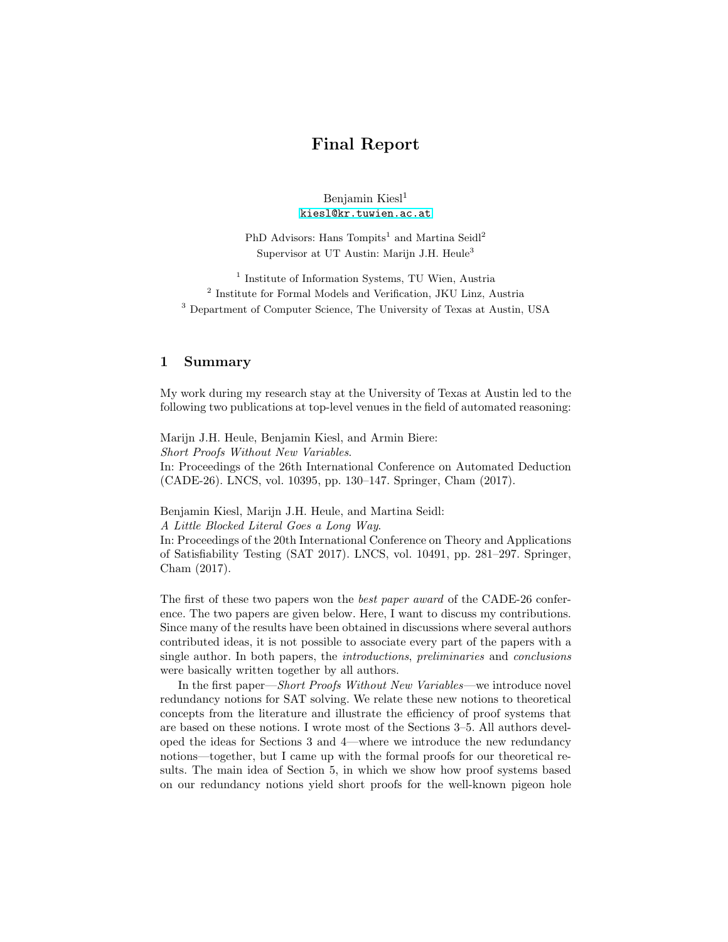# Final Report

Benjamin Kiesl<sup>1</sup> [kiesl@kr.tuwien.ac.at](mailto:kiesl@kr.tuwien.ac.at)

PhD Advisors: Hans Tompits<sup>1</sup> and Martina Seidl<sup>2</sup> Supervisor at UT Austin: Marijn J.H. Heule<sup>3</sup>

<sup>1</sup> Institute of Information Systems, TU Wien, Austria 2 Institute for Formal Models and Verification, JKU Linz, Austria <sup>3</sup> Department of Computer Science, The University of Texas at Austin, USA

## 1 Summary

My work during my research stay at the University of Texas at Austin led to the following two publications at top-level venues in the field of automated reasoning:

Marijn J.H. Heule, Benjamin Kiesl, and Armin Biere: Short Proofs Without New Variables. In: Proceedings of the 26th International Conference on Automated Deduction (CADE-26). LNCS, vol. 10395, pp. 130–147. Springer, Cham (2017).

Benjamin Kiesl, Marijn J.H. Heule, and Martina Seidl: A Little Blocked Literal Goes a Long Way.

In: Proceedings of the 20th International Conference on Theory and Applications of Satisfiability Testing (SAT 2017). LNCS, vol. 10491, pp. 281–297. Springer, Cham (2017).

The first of these two papers won the best paper award of the CADE-26 conference. The two papers are given below. Here, I want to discuss my contributions. Since many of the results have been obtained in discussions where several authors contributed ideas, it is not possible to associate every part of the papers with a single author. In both papers, the introductions, preliminaries and conclusions were basically written together by all authors.

In the first paper—Short Proofs Without New Variables—we introduce novel redundancy notions for SAT solving. We relate these new notions to theoretical concepts from the literature and illustrate the efficiency of proof systems that are based on these notions. I wrote most of the Sections 3–5. All authors developed the ideas for Sections 3 and 4—where we introduce the new redundancy notions—together, but I came up with the formal proofs for our theoretical results. The main idea of Section 5, in which we show how proof systems based on our redundancy notions yield short proofs for the well-known pigeon hole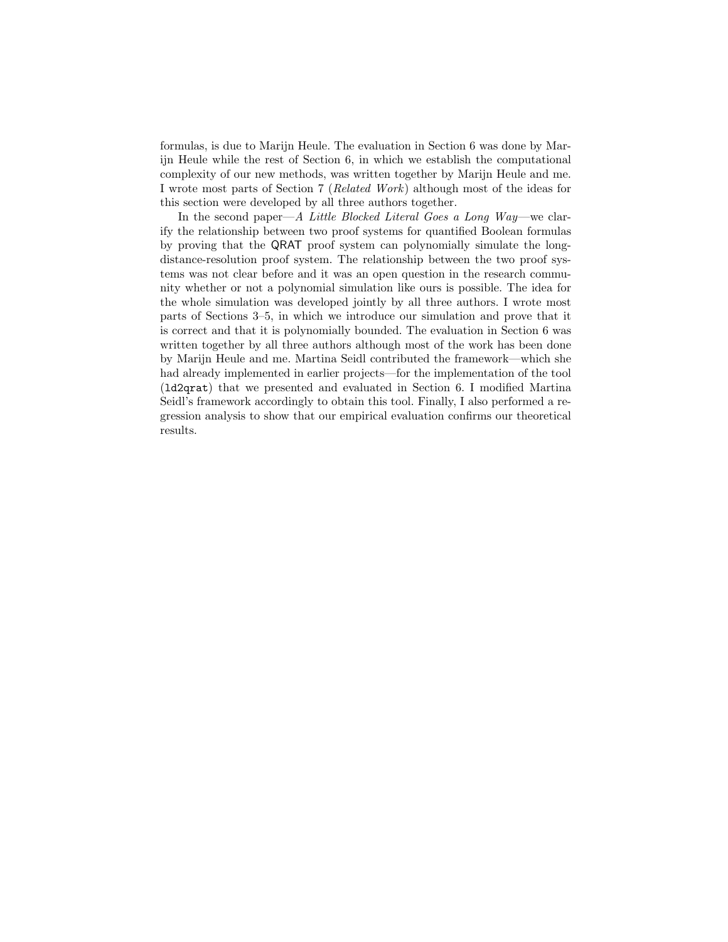formulas, is due to Marijn Heule. The evaluation in Section 6 was done by Marijn Heule while the rest of Section 6, in which we establish the computational complexity of our new methods, was written together by Marijn Heule and me. I wrote most parts of Section 7 (Related Work) although most of the ideas for this section were developed by all three authors together.

In the second paper—A Little Blocked Literal Goes a Long Way—we clarify the relationship between two proof systems for quantified Boolean formulas by proving that the QRAT proof system can polynomially simulate the longdistance-resolution proof system. The relationship between the two proof systems was not clear before and it was an open question in the research community whether or not a polynomial simulation like ours is possible. The idea for the whole simulation was developed jointly by all three authors. I wrote most parts of Sections 3–5, in which we introduce our simulation and prove that it is correct and that it is polynomially bounded. The evaluation in Section 6 was written together by all three authors although most of the work has been done by Marijn Heule and me. Martina Seidl contributed the framework—which she had already implemented in earlier projects—for the implementation of the tool (ld2qrat) that we presented and evaluated in Section 6. I modified Martina Seidl's framework accordingly to obtain this tool. Finally, I also performed a regression analysis to show that our empirical evaluation confirms our theoretical results.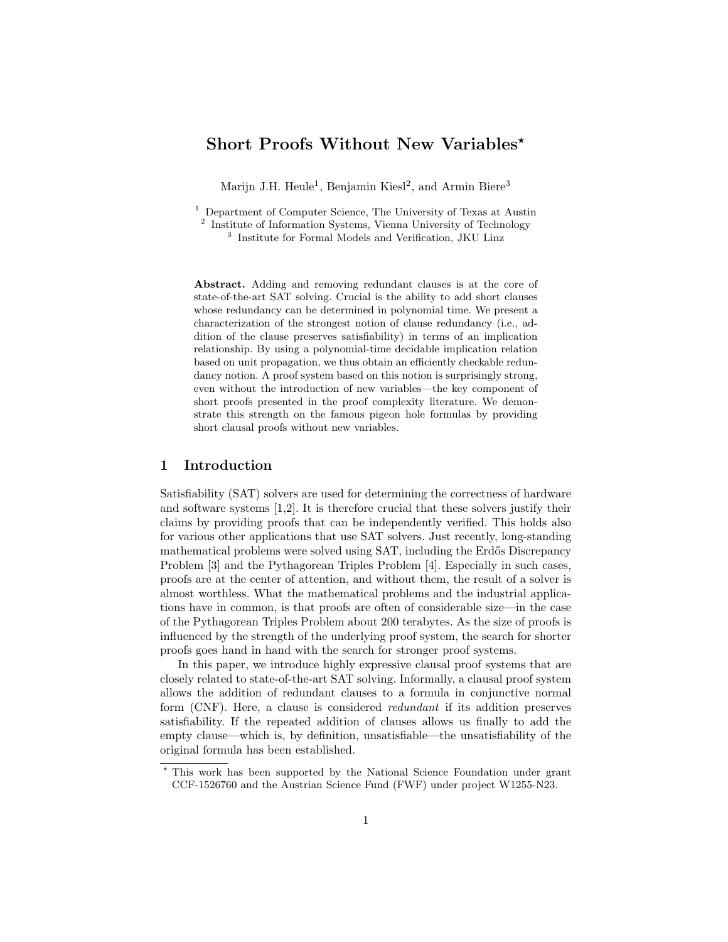# Short Proofs Without New Variables<sup>\*</sup>

Marijn J.H. Heule<sup>1</sup>, Benjamin Kiesl<sup>2</sup>, and Armin Biere<sup>3</sup>

<sup>1</sup> Department of Computer Science, The University of Texas at Austin

<sup>2</sup> Institute of Information Systems, Vienna University of Technology 3 Institute for Formal Models and Verification, JKU Linz

Abstract. Adding and removing redundant clauses is at the core of state-of-the-art SAT solving. Crucial is the ability to add short clauses whose redundancy can be determined in polynomial time. We present a characterization of the strongest notion of clause redundancy (i.e., addition of the clause preserves satisfiability) in terms of an implication relationship. By using a polynomial-time decidable implication relation based on unit propagation, we thus obtain an efficiently checkable redundancy notion. A proof system based on this notion is surprisingly strong, even without the introduction of new variables—the key component of short proofs presented in the proof complexity literature. We demonstrate this strength on the famous pigeon hole formulas by providing short clausal proofs without new variables.

## 1 Introduction

Satisfiability (SAT) solvers are used for determining the correctness of hardware and software systems [1,2]. It is therefore crucial that these solvers justify their claims by providing proofs that can be independently verified. This holds also for various other applications that use SAT solvers. Just recently, long-standing mathematical problems were solved using SAT, including the Erdős Discrepancy Problem [3] and the Pythagorean Triples Problem [4]. Especially in such cases, proofs are at the center of attention, and without them, the result of a solver is almost worthless. What the mathematical problems and the industrial applications have in common, is that proofs are often of considerable size—in the case of the Pythagorean Triples Problem about 200 terabytes. As the size of proofs is influenced by the strength of the underlying proof system, the search for shorter proofs goes hand in hand with the search for stronger proof systems.

In this paper, we introduce highly expressive clausal proof systems that are closely related to state-of-the-art SAT solving. Informally, a clausal proof system allows the addition of redundant clauses to a formula in conjunctive normal form (CNF). Here, a clause is considered redundant if its addition preserves satisfiability. If the repeated addition of clauses allows us finally to add the empty clause—which is, by definition, unsatisfiable—the unsatisfiability of the original formula has been established.

<sup>?</sup> This work has been supported by the National Science Foundation under grant CCF-1526760 and the Austrian Science Fund (FWF) under project W1255-N23.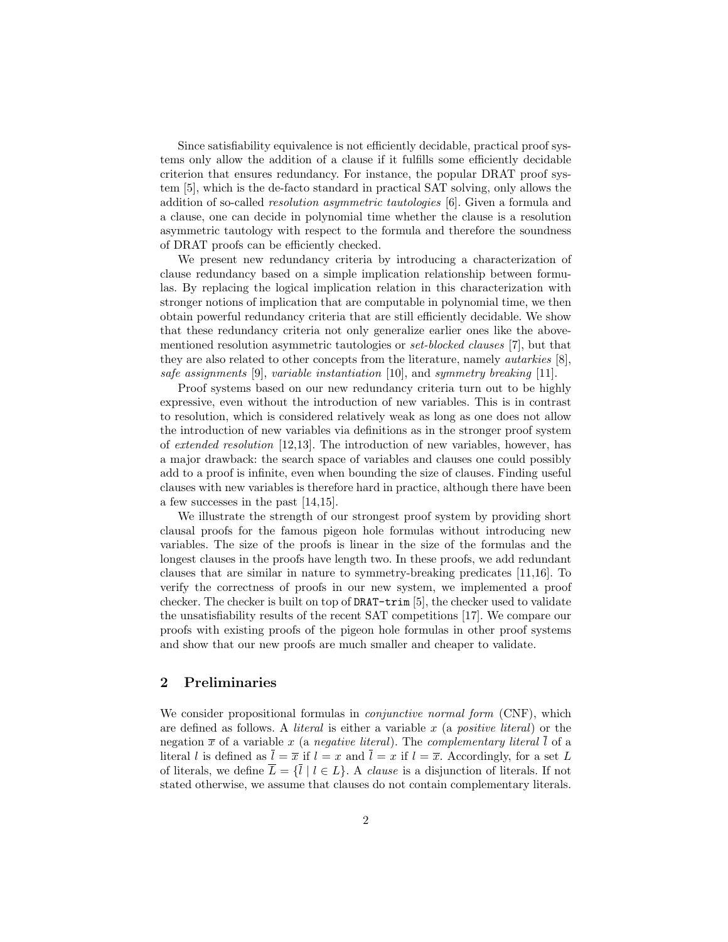Since satisfiability equivalence is not efficiently decidable, practical proof systems only allow the addition of a clause if it fulfills some efficiently decidable criterion that ensures redundancy. For instance, the popular DRAT proof system [5], which is the de-facto standard in practical SAT solving, only allows the addition of so-called resolution asymmetric tautologies [6]. Given a formula and a clause, one can decide in polynomial time whether the clause is a resolution asymmetric tautology with respect to the formula and therefore the soundness of DRAT proofs can be efficiently checked.

We present new redundancy criteria by introducing a characterization of clause redundancy based on a simple implication relationship between formulas. By replacing the logical implication relation in this characterization with stronger notions of implication that are computable in polynomial time, we then obtain powerful redundancy criteria that are still efficiently decidable. We show that these redundancy criteria not only generalize earlier ones like the abovementioned resolution asymmetric tautologies or set-blocked clauses [7], but that they are also related to other concepts from the literature, namely autarkies [8], safe assignments [9], variable instantiation [10], and symmetry breaking [11].

Proof systems based on our new redundancy criteria turn out to be highly expressive, even without the introduction of new variables. This is in contrast to resolution, which is considered relatively weak as long as one does not allow the introduction of new variables via definitions as in the stronger proof system of extended resolution [12,13]. The introduction of new variables, however, has a major drawback: the search space of variables and clauses one could possibly add to a proof is infinite, even when bounding the size of clauses. Finding useful clauses with new variables is therefore hard in practice, although there have been a few successes in the past [14,15].

We illustrate the strength of our strongest proof system by providing short clausal proofs for the famous pigeon hole formulas without introducing new variables. The size of the proofs is linear in the size of the formulas and the longest clauses in the proofs have length two. In these proofs, we add redundant clauses that are similar in nature to symmetry-breaking predicates [11,16]. To verify the correctness of proofs in our new system, we implemented a proof checker. The checker is built on top of DRAT-trim [5], the checker used to validate the unsatisfiability results of the recent SAT competitions [17]. We compare our proofs with existing proofs of the pigeon hole formulas in other proof systems and show that our new proofs are much smaller and cheaper to validate.

## 2 Preliminaries

We consider propositional formulas in *conjunctive normal form* (CNF), which are defined as follows. A *literal* is either a variable  $x$  (a *positive literal*) or the negation  $\bar{x}$  of a variable x (a negative literal). The complementary literal  $\bar{l}$  of a literal l is defined as  $\overline{l} = \overline{x}$  if  $l = x$  and  $\overline{l} = x$  if  $l = \overline{x}$ . Accordingly, for a set L of literals, we define  $\overline{L} = {\overline{i} \mid l \in L}$ . A *clause* is a disjunction of literals. If not stated otherwise, we assume that clauses do not contain complementary literals.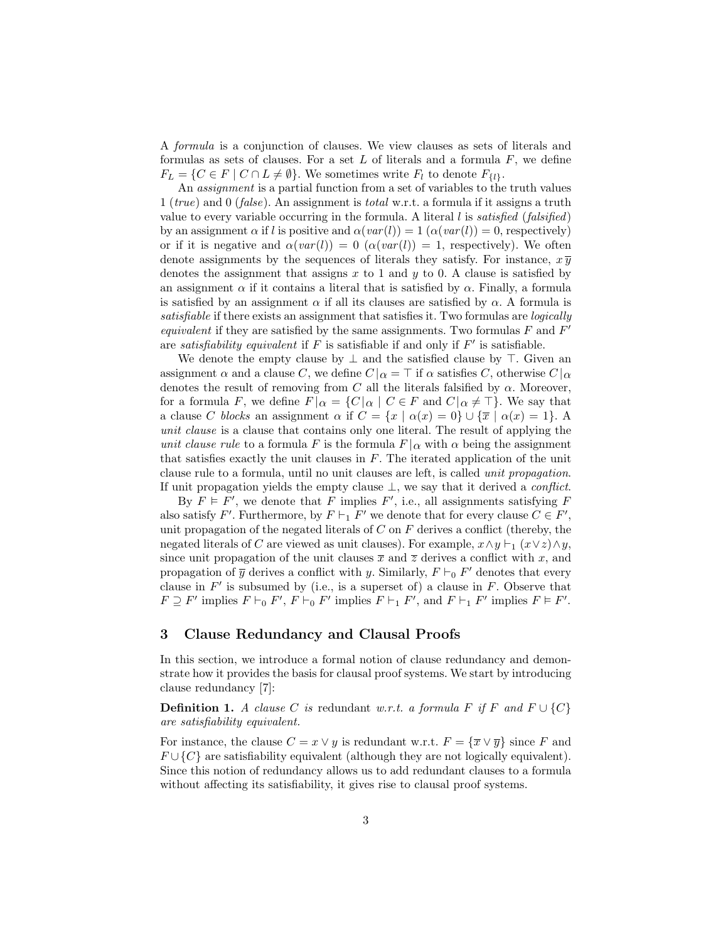A formula is a conjunction of clauses. We view clauses as sets of literals and formulas as sets of clauses. For a set  $L$  of literals and a formula  $F$ , we define  $F_L = \{ C \in F \mid C \cap L \neq \emptyset \}.$  We sometimes write  $F_l$  to denote  $F_{\{l\}}$ .

An assignment is a partial function from a set of variables to the truth values 1 (true) and 0 (false). An assignment is total w.r.t. a formula if it assigns a truth value to every variable occurring in the formula. A literal  $l$  is *satisfied* (*falsified*) by an assignment  $\alpha$  if l is positive and  $\alpha(var(l)) = 1$   $(\alpha(var(l)) = 0$ , respectively) or if it is negative and  $\alpha(var(l)) = 0$   $(\alpha(var(l)) = 1$ , respectively). We often denote assignments by the sequences of literals they satisfy. For instance,  $x \overline{y}$ denotes the assignment that assigns  $x$  to 1 and  $y$  to 0. A clause is satisfied by an assignment  $\alpha$  if it contains a literal that is satisfied by  $\alpha$ . Finally, a formula is satisfied by an assignment  $\alpha$  if all its clauses are satisfied by  $\alpha$ . A formula is satisfiable if there exists an assignment that satisfies it. Two formulas are *logically* equivalent if they are satisfied by the same assignments. Two formulas  $F$  and  $F'$ are satisfiability equivalent if F is satisfiable if and only if  $F'$  is satisfiable.

We denote the empty clause by  $\perp$  and the satisfied clause by  $\top$ . Given an assignment  $\alpha$  and a clause C, we define  $C|\alpha = \top$  if  $\alpha$  satisfies C, otherwise  $C|\alpha$ denotes the result of removing from C all the literals falsified by  $\alpha$ . Moreover, for a formula F, we define  $F|_{\alpha} = \{C | \alpha \mid C \in F \text{ and } C | \alpha \neq \top\}.$  We say that a clause C blocks an assignment  $\alpha$  if  $C = \{x \mid \alpha(x) = 0\} \cup \{\overline{x} \mid \alpha(x) = 1\}$ . unit clause is a clause that contains only one literal. The result of applying the unit clause rule to a formula F is the formula  $F | \alpha$  with  $\alpha$  being the assignment that satisfies exactly the unit clauses in  $F$ . The iterated application of the unit clause rule to a formula, until no unit clauses are left, is called unit propagation. If unit propagation yields the empty clause  $\bot$ , we say that it derived a *conflict*.

By  $F \models F'$ , we denote that F implies  $F'$ , i.e., all assignments satisfying F also satisfy F'. Furthermore, by  $F \vdash_1 F'$  we denote that for every clause  $C \in F'$ , unit propagation of the negated literals of  $C$  on  $F$  derives a conflict (thereby, the negated literals of C are viewed as unit clauses). For example,  $x \wedge y \vdash_1 (x \vee z) \wedge y$ , since unit propagation of the unit clauses  $\bar{x}$  and  $\bar{z}$  derives a conflict with x, and propagation of  $\overline{y}$  derives a conflict with y. Similarly,  $F \vdash_0 F'$  denotes that every clause in  $F'$  is subsumed by (i.e., is a superset of) a clause in  $F$ . Observe that  $F \supseteq F'$  implies  $F \vdash_0 F'$ ,  $F \vdash_0 F'$  implies  $F \vdash_1 F'$ , and  $F \vdash_1 F'$  implies  $F \vDash F'$ .

## 3 Clause Redundancy and Clausal Proofs

In this section, we introduce a formal notion of clause redundancy and demonstrate how it provides the basis for clausal proof systems. We start by introducing clause redundancy [7]:

**Definition 1.** A clause C is redundant w.r.t. a formula F if F and  $F \cup \{C\}$ are satisfiability equivalent.

For instance, the clause  $C = x \vee y$  is redundant w.r.t.  $F = {\overline{x} \vee \overline{y}}$  since F and  $F \cup \{C\}$  are satisfiability equivalent (although they are not logically equivalent). Since this notion of redundancy allows us to add redundant clauses to a formula without affecting its satisfiability, it gives rise to clausal proof systems.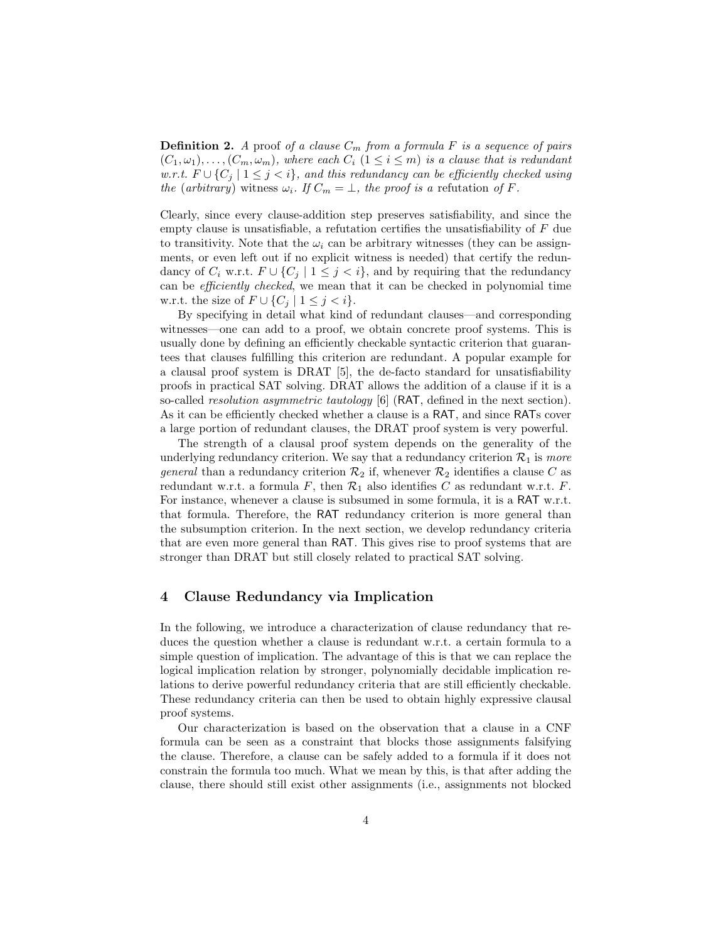**Definition 2.** A proof of a clause  $C_m$  from a formula F is a sequence of pairs  $(C_1,\omega_1),\ldots,(C_m,\omega_m),$  where each  $C_i$   $(1 \leq i \leq m)$  is a clause that is redundant w.r.t.  $F \cup \{C_i \mid 1 \leq j < i\}$ , and this redundancy can be efficiently checked using the (arbitrary) witness  $\omega_i$ . If  $C_m = \bot$ , the proof is a refutation of F.

Clearly, since every clause-addition step preserves satisfiability, and since the empty clause is unsatisfiable, a refutation certifies the unsatisfiability of  $F$  due to transitivity. Note that the  $\omega_i$  can be arbitrary witnesses (they can be assignments, or even left out if no explicit witness is needed) that certify the redundancy of  $C_i$  w.r.t.  $F \cup \{C_j \mid 1 \leq j < i\}$ , and by requiring that the redundancy can be efficiently checked, we mean that it can be checked in polynomial time w.r.t. the size of  $F \cup \{C_j \mid 1 \leq j < i\}.$ 

By specifying in detail what kind of redundant clauses—and corresponding witnesses—one can add to a proof, we obtain concrete proof systems. This is usually done by defining an efficiently checkable syntactic criterion that guarantees that clauses fulfilling this criterion are redundant. A popular example for a clausal proof system is DRAT [5], the de-facto standard for unsatisfiability proofs in practical SAT solving. DRAT allows the addition of a clause if it is a so-called resolution asymmetric tautology [6] (RAT, defined in the next section). As it can be efficiently checked whether a clause is a RAT, and since RATs cover a large portion of redundant clauses, the DRAT proof system is very powerful.

The strength of a clausal proof system depends on the generality of the underlying redundancy criterion. We say that a redundancy criterion  $\mathcal{R}_1$  is more *general* than a redundancy criterion  $\mathcal{R}_2$  if, whenever  $\mathcal{R}_2$  identifies a clause C as redundant w.r.t. a formula  $F$ , then  $\mathcal{R}_1$  also identifies  $C$  as redundant w.r.t.  $F$ . For instance, whenever a clause is subsumed in some formula, it is a RAT w.r.t. that formula. Therefore, the RAT redundancy criterion is more general than the subsumption criterion. In the next section, we develop redundancy criteria that are even more general than RAT. This gives rise to proof systems that are stronger than DRAT but still closely related to practical SAT solving.

## 4 Clause Redundancy via Implication

In the following, we introduce a characterization of clause redundancy that reduces the question whether a clause is redundant w.r.t. a certain formula to a simple question of implication. The advantage of this is that we can replace the logical implication relation by stronger, polynomially decidable implication relations to derive powerful redundancy criteria that are still efficiently checkable. These redundancy criteria can then be used to obtain highly expressive clausal proof systems.

Our characterization is based on the observation that a clause in a CNF formula can be seen as a constraint that blocks those assignments falsifying the clause. Therefore, a clause can be safely added to a formula if it does not constrain the formula too much. What we mean by this, is that after adding the clause, there should still exist other assignments (i.e., assignments not blocked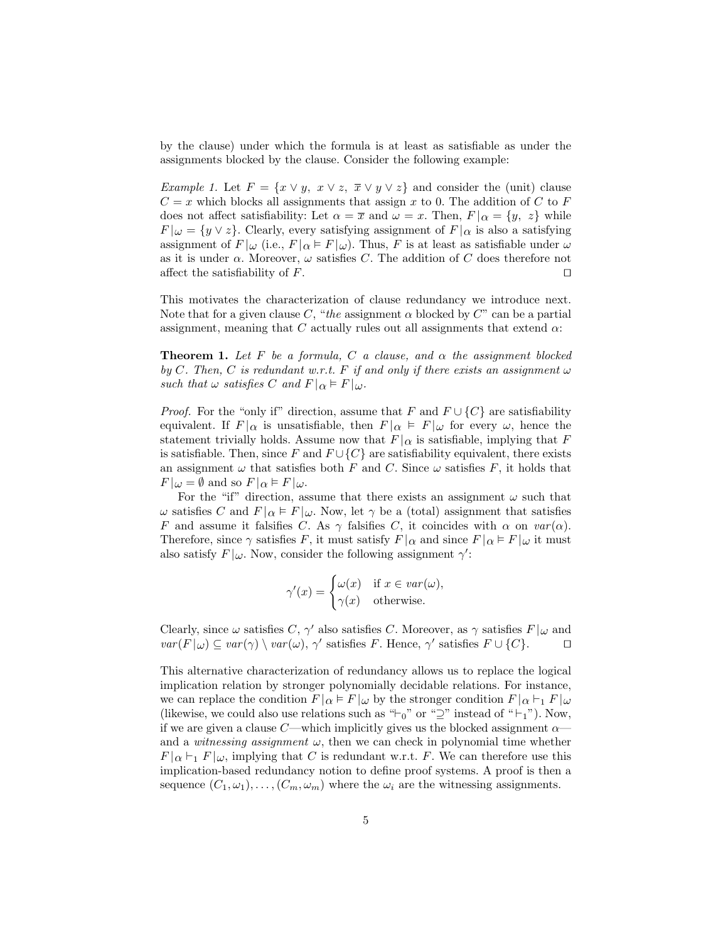by the clause) under which the formula is at least as satisfiable as under the assignments blocked by the clause. Consider the following example:

Example 1. Let  $F = \{x \vee y, x \vee z, \overline{x} \vee y \vee z\}$  and consider the (unit) clause  $C = x$  which blocks all assignments that assign x to 0. The addition of C to F does not affect satisfiability: Let  $\alpha = \overline{x}$  and  $\omega = x$ . Then,  $F|\alpha = \{y, z\}$  while  $F|\omega = \{y \vee z\}$ . Clearly, every satisfying assignment of  $F|\alpha$  is also a satisfying assignment of  $F|\omega$  (i.e.,  $F|\alpha \models F|\omega$ ). Thus, F is at least as satisfiable under  $\omega$ as it is under  $\alpha$ . Moreover,  $\omega$  satisfies C. The addition of C does therefore not affect the satisfiability of  $F$ .

This motivates the characterization of clause redundancy we introduce next. Note that for a given clause C, "the assignment  $\alpha$  blocked by C" can be a partial assignment, meaning that C actually rules out all assignments that extend  $\alpha$ :

**Theorem 1.** Let F be a formula, C a clause, and  $\alpha$  the assignment blocked by C. Then, C is redundant w.r.t. F if and only if there exists an assignment  $\omega$ such that  $\omega$  satisfies C and  $F|_{\alpha} \models F|\omega$ .

*Proof.* For the "only if" direction, assume that F and  $F \cup \{C\}$  are satisfiability equivalent. If  $F | \alpha$  is unsatisfiable, then  $F | \alpha \models F | \omega$  for every  $\omega$ , hence the statement trivially holds. Assume now that  $F|\alpha$  is satisfiable, implying that F is satisfiable. Then, since F and  $F \cup \{C\}$  are satisfiability equivalent, there exists an assignment  $\omega$  that satisfies both F and C. Since  $\omega$  satisfies F, it holds that  $F\vert_{\omega} = \emptyset$  and so  $F\vert_{\alpha} \models F\vert_{\omega}$ .

For the "if" direction, assume that there exists an assignment  $\omega$  such that  $ω$  satisfies C and  $F|α ⊧ F|ω$ . Now, let γ be a (total) assignment that satisfies F and assume it falsifies C. As  $\gamma$  falsifies C, it coincides with  $\alpha$  on  $var(\alpha)$ . Therefore, since  $\gamma$  satisfies F, it must satisfy  $F|\alpha$  and since  $F|\alpha \models F|\omega$  it must also satisfy  $F|_{\omega}$ . Now, consider the following assignment  $\gamma'$ :

$$
\gamma'(x) = \begin{cases} \omega(x) & \text{if } x \in \text{var}(\omega), \\ \gamma(x) & \text{otherwise.} \end{cases}
$$

Clearly, since  $\omega$  satisfies C,  $\gamma'$  also satisfies C. Moreover, as  $\gamma$  satisfies  $F|\omega$  and  $var(F|\omega) \subseteq var(\gamma) \setminus var(\omega), \gamma'$  satisfies F. Hence,  $\gamma'$  satisfies  $F \cup \{C\}$ .  $\Box$ 

This alternative characterization of redundancy allows us to replace the logical implication relation by stronger polynomially decidable relations. For instance, we can replace the condition  $F |_{\alpha} \models F |_{\omega}$  by the stronger condition  $F |_{\alpha} \models_1 F |_{\omega}$ (likewise, we could also use relations such as " $\vdash_0$ " or "⊇" instead of " $\vdash_1$ "). Now, if we are given a clause C—which implicitly gives us the blocked assignment  $\alpha$  and a *witnessing assignment*  $\omega$ , then we can check in polynomial time whether  $F |_{\alpha} \vdash_1 F |_{\omega}$ , implying that C is redundant w.r.t. F. We can therefore use this implication-based redundancy notion to define proof systems. A proof is then a sequence  $(C_1, \omega_1), \ldots, (C_m, \omega_m)$  where the  $\omega_i$  are the witnessing assignments.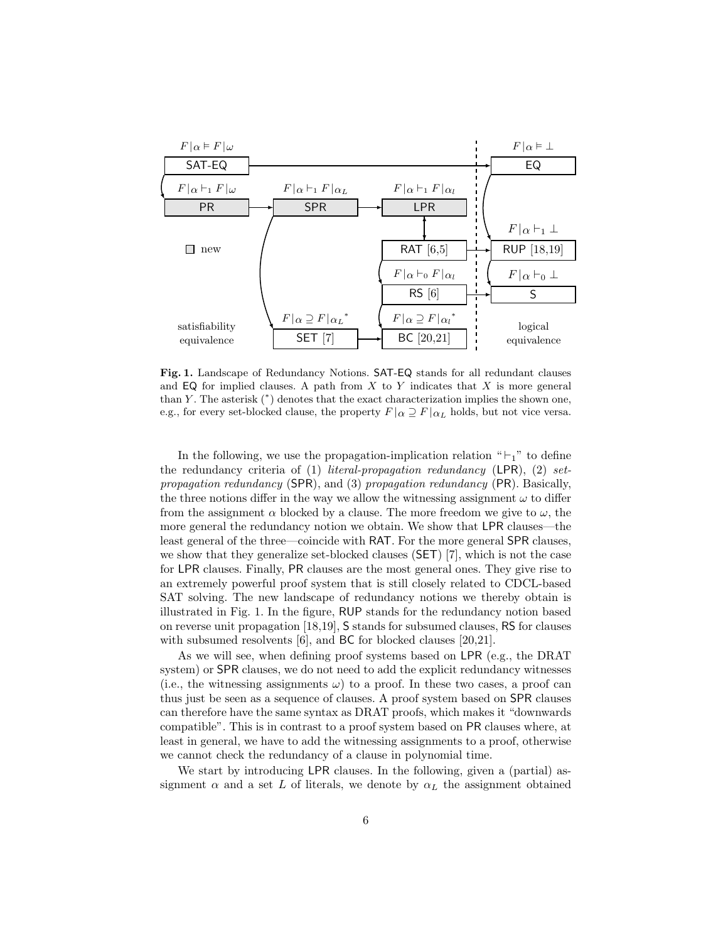

Fig. 1. Landscape of Redundancy Notions. SAT-EQ stands for all redundant clauses and EQ for implied clauses. A path from  $X$  to  $Y$  indicates that  $X$  is more general than Y . The asterisk (<sup>∗</sup> ) denotes that the exact characterization implies the shown one, e.g., for every set-blocked clause, the property  $F|_{\alpha} \supseteq F|_{\alpha}$  holds, but not vice versa.

In the following, we use the propagation-implication relation " $\vdash_1$ " to define the redundancy criteria of (1) literal-propagation redundancy (LPR), (2) setpropagation redundancy (SPR), and (3) propagation redundancy (PR). Basically, the three notions differ in the way we allow the witnessing assignment  $\omega$  to differ from the assignment  $\alpha$  blocked by a clause. The more freedom we give to  $\omega$ , the more general the redundancy notion we obtain. We show that LPR clauses—the least general of the three—coincide with RAT. For the more general SPR clauses, we show that they generalize set-blocked clauses (SET) [7], which is not the case for LPR clauses. Finally, PR clauses are the most general ones. They give rise to an extremely powerful proof system that is still closely related to CDCL-based SAT solving. The new landscape of redundancy notions we thereby obtain is illustrated in Fig. 1. In the figure, RUP stands for the redundancy notion based on reverse unit propagation [18,19], S stands for subsumed clauses, RS for clauses with subsumed resolvents [6], and BC for blocked clauses [20,21].

As we will see, when defining proof systems based on LPR (e.g., the DRAT system) or SPR clauses, we do not need to add the explicit redundancy witnesses (i.e., the witnessing assignments  $\omega$ ) to a proof. In these two cases, a proof can thus just be seen as a sequence of clauses. A proof system based on SPR clauses can therefore have the same syntax as DRAT proofs, which makes it "downwards compatible". This is in contrast to a proof system based on PR clauses where, at least in general, we have to add the witnessing assignments to a proof, otherwise we cannot check the redundancy of a clause in polynomial time.

We start by introducing LPR clauses. In the following, given a (partial) assignment  $\alpha$  and a set L of literals, we denote by  $\alpha_L$  the assignment obtained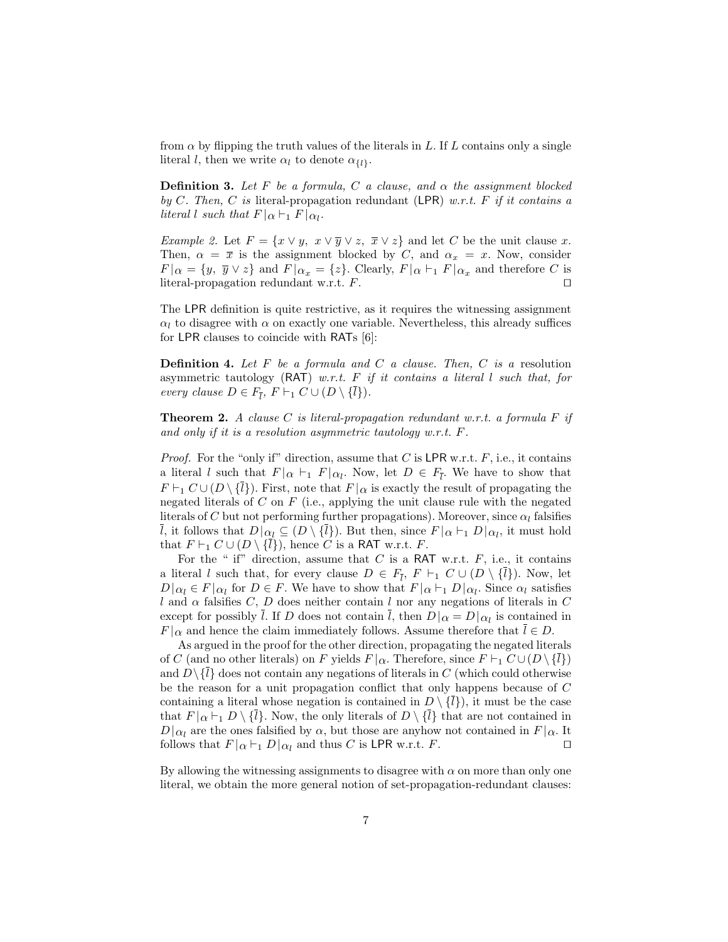from  $\alpha$  by flipping the truth values of the literals in L. If L contains only a single literal *l*, then we write  $\alpha_l$  to denote  $\alpha_{\{l\}}$ .

**Definition 3.** Let F be a formula, C a clause, and  $\alpha$  the assignment blocked by C. Then, C is literal-propagation redundant (LPR) w.r.t. F if it contains a literal l such that  $F | \alpha \vdash_1 F | \alpha_l$ .

*Example 2.* Let  $F = \{x \lor y, x \lor \overline{y} \lor z, \overline{x} \lor z\}$  and let C be the unit clause x. Then,  $\alpha = \bar{x}$  is the assignment blocked by C, and  $\alpha_x = x$ . Now, consider  $F|\alpha = \{y, \overline{y} \vee z\}$  and  $F|\alpha_x = \{z\}$ . Clearly,  $F|\alpha \vdash_1 F|\alpha_x$  and therefore C is literal-propagation redundant w.r.t.  $F$ .

The LPR definition is quite restrictive, as it requires the witnessing assignment  $\alpha_l$  to disagree with  $\alpha$  on exactly one variable. Nevertheless, this already suffices for LPR clauses to coincide with RATs [6]:

**Definition 4.** Let  $F$  be a formula and  $C$  a clause. Then,  $C$  is a resolution asymmetric tautology  $(RAT)$  w.r.t. F if it contains a literal l such that, for every clause  $D \in F_{\bar{l}}, F \vdash_1 C \cup (D \setminus \{l\}).$ 

**Theorem 2.** A clause C is literal-propagation redundant w.r.t. a formula  $F$  if and only if it is a resolution asymmetric tautology w.r.t. F.

*Proof.* For the "only if" direction, assume that C is LPR w.r.t.  $F$ , i.e., it contains a literal l such that  $F|_{\alpha} \vdash_1 F|_{\alpha_l}$ . Now, let  $D \in F_{\overline{l}}$ . We have to show that  $F \vdash_1 C \cup (D \setminus \{\overline{l}\})$ . First, note that  $F | \alpha$  is exactly the result of propagating the negated literals of  $C$  on  $F$  (i.e., applying the unit clause rule with the negated literals of C but not performing further propagations). Moreover, since  $\alpha_l$  falsifies l, it follows that  $D|_{\alpha_l} \subseteq (D \setminus \{l\})$ . But then, since  $F|_{\alpha} \vdash_1 D|_{\alpha_l}$ , it must hold that  $F \vdash_1 C \cup (D \setminus {\overline{i}})$ , hence C is a RAT w.r.t. F.

For the " if" direction, assume that  $C$  is a RAT w.r.t.  $F$ , i.e., it contains a literal l such that, for every clause  $D \in F_{\bar{l}}$ ,  $F \vdash_1 C \cup (D \setminus \{l\})$ . Now, let  $D|\alpha_l \in F|\alpha_l$  for  $D \in F$ . We have to show that  $F|\alpha \vdash_1 D|\alpha_l$ . Since  $\alpha_l$  satisfies l and  $\alpha$  falsifies C, D does neither contain l nor any negations of literals in C except for possibly l. If D does not contain l, then  $D|\alpha = D|\alpha_l$  is contained in  $F|_{\alpha}$  and hence the claim immediately follows. Assume therefore that  $\overline{l} \in D$ .

As argued in the proof for the other direction, propagating the negated literals of C (and no other literals) on F yields  $F |_{\alpha}$ . Therefore, since  $F \vdash_1 C \cup (D \setminus \{\overline{l}\})$ and  $D\setminus\{\overline{l}\}$  does not contain any negations of literals in C (which could otherwise be the reason for a unit propagation conflict that only happens because of C containing a literal whose negation is contained in  $D \setminus {\overline{l}}$ , it must be the case that  $F | \alpha \vdash_1 D \setminus \{l\}$ . Now, the only literals of  $D \setminus \{l\}$  that are not contained in  $D|_{\alpha_l}$  are the ones falsified by  $\alpha$ , but those are anyhow not contained in  $F|_{\alpha}$ . It follows that  $F|_{\alpha} \vdash_1 D|_{\alpha}$  and thus C is LPR w.r.t. F.

By allowing the witnessing assignments to disagree with  $\alpha$  on more than only one literal, we obtain the more general notion of set-propagation-redundant clauses: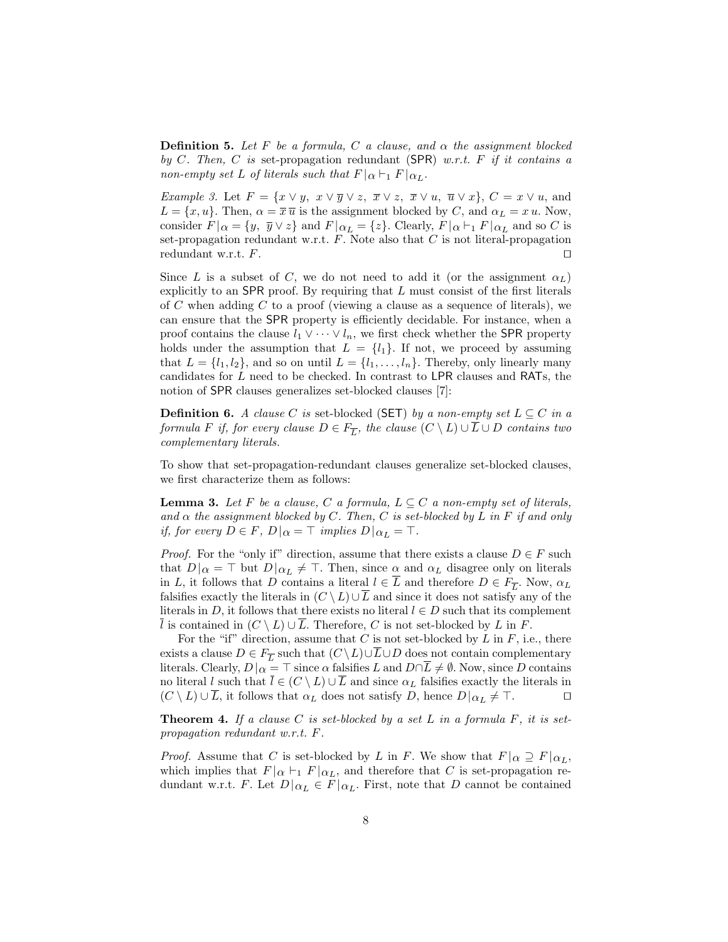**Definition 5.** Let F be a formula, C a clause, and  $\alpha$  the assignment blocked by C. Then, C is set-propagation redundant (SPR) w.r.t. F if it contains a non-empty set L of literals such that  $F |_{\alpha} \vdash_1 F |_{\alpha_L}$ .

Example 3. Let  $F = \{x \vee y, x \vee \overline{y} \vee z, \overline{x} \vee z, \overline{x} \vee u, \overline{u} \vee x\}, C = x \vee u$ , and  $L = \{x, u\}$ . Then,  $\alpha = \overline{x} \overline{u}$  is the assignment blocked by C, and  $\alpha_L = x u$ . Now, consider  $F|_{\alpha} = \{y, \overline{y} \vee z\}$  and  $F|_{\alpha} = \{z\}$ . Clearly,  $F|_{\alpha} \vdash_1 F|_{\alpha}$  and so C is set-propagation redundant w.r.t.  $F$ . Note also that  $C$  is not literal-propagation redundant w.r.t.  $F$ .  $\Box$ 

Since L is a subset of C, we do not need to add it (or the assignment  $\alpha_L$ ) explicitly to an SPR proof. By requiring that  $L$  must consist of the first literals of  $C$  when adding  $C$  to a proof (viewing a clause as a sequence of literals), we can ensure that the SPR property is efficiently decidable. For instance, when a proof contains the clause  $l_1 \vee \cdots \vee l_n$ , we first check whether the SPR property holds under the assumption that  $L = \{l_1\}$ . If not, we proceed by assuming that  $L = \{l_1, l_2\}$ , and so on until  $L = \{l_1, \ldots, l_n\}$ . Thereby, only linearly many candidates for L need to be checked. In contrast to LPR clauses and RATs, the notion of SPR clauses generalizes set-blocked clauses [7]:

**Definition 6.** A clause C is set-blocked (SET) by a non-empty set  $L \subseteq C$  in a formula F if, for every clause  $D \in F_{\overline{L}}$ , the clause  $(C \setminus L) \cup L \cup D$  contains two complementary literals.

To show that set-propagation-redundant clauses generalize set-blocked clauses, we first characterize them as follows:

**Lemma 3.** Let F be a clause, C a formula,  $L \subseteq C$  a non-empty set of literals, and  $\alpha$  the assignment blocked by C. Then, C is set-blocked by L in F if and only if, for every  $D \in F$ ,  $D|_{\alpha} = \top$  implies  $D|_{\alpha} = \top$ .

*Proof.* For the "only if" direction, assume that there exists a clause  $D \in F$  such that  $D|_{\alpha} = \top$  but  $D|_{\alpha} \neq \top$ . Then, since  $\alpha$  and  $\alpha_L$  disagree only on literals in L, it follows that D contains a literal  $l \in L$  and therefore  $D \in F_{\overline{L}}$ . Now,  $\alpha_L$ falsifies exactly the literals in  $(C \setminus L) \cup \overline{L}$  and since it does not satisfy any of the literals in D, it follows that there exists no literal  $l \in D$  such that its complement *l* is contained in  $(C \setminus L) \cup \overline{L}$ . Therefore, *C* is not set-blocked by *L* in *F*.

For the "if" direction, assume that  $C$  is not set-blocked by  $L$  in  $F$ , i.e., there exists a clause  $D \in F_{\overline{L}}$  such that  $(C \setminus L) \cup L \cup D$  does not contain complementary literals. Clearly,  $D|\alpha = \top$  since  $\alpha$  falsifies L and  $D \cap \overline{L} \neq \emptyset$ . Now, since D contains no literal l such that  $\overline{l} \in (C \setminus L) \cup \overline{L}$  and since  $\alpha_L$  falsifies exactly the literals in  $(C \setminus L) \cup \overline{L}$ , it follows that  $\alpha_L$  does not satisfy D, hence  $D|_{\alpha_L} \neq \top$ .  $(C \setminus L) \cup L$ , it follows that  $\alpha_L$  does not satisfy D, hence  $D|_{\alpha_L} \neq \top$ .

**Theorem 4.** If a clause C is set-blocked by a set L in a formula F, it is setpropagation redundant w.r.t. F.

*Proof.* Assume that C is set-blocked by L in F. We show that  $F|_{\alpha} \supseteq F|_{\alpha}$ , which implies that  $F |_{\alpha} \vdash_1 F |_{\alpha_L}$ , and therefore that C is set-propagation redundant w.r.t. F. Let  $D|_{\alpha_L} \in F|_{\alpha_L}$ . First, note that D cannot be contained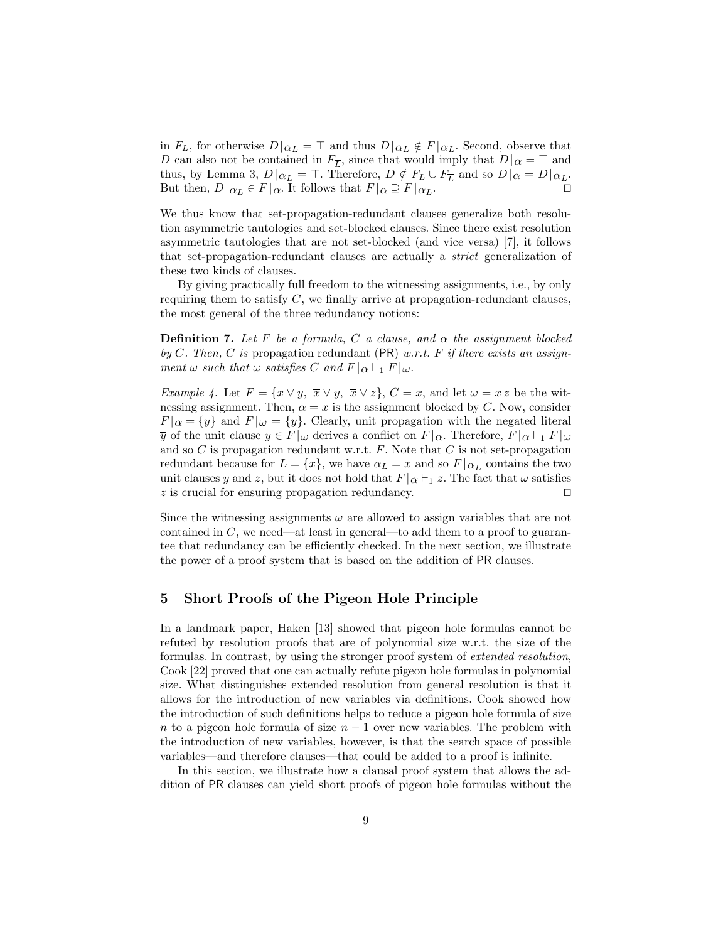in  $F_L$ , for otherwise  $D|_{\alpha_L} = \top$  and thus  $D|_{\alpha_L} \notin F|_{\alpha_L}$ . Second, observe that D can also not be contained in  $F_{\overline{L}}$ , since that would imply that  $D|\alpha = \top$  and thus, by Lemma 3,  $D|_{\alpha_L} = \top$ . Therefore,  $D \notin F_L \cup F_{\overline{L}}$  and so  $D|_{\alpha} = D|_{\alpha_L}$ . But then,  $D|_{\alpha_L} \in F|_{\alpha}$ . It follows that  $F|_{\alpha} \supseteq F|_{\alpha_L}$ .

We thus know that set-propagation-redundant clauses generalize both resolution asymmetric tautologies and set-blocked clauses. Since there exist resolution asymmetric tautologies that are not set-blocked (and vice versa) [7], it follows that set-propagation-redundant clauses are actually a strict generalization of these two kinds of clauses.

By giving practically full freedom to the witnessing assignments, i.e., by only requiring them to satisfy  $C$ , we finally arrive at propagation-redundant clauses, the most general of the three redundancy notions:

**Definition 7.** Let F be a formula, C a clause, and  $\alpha$  the assignment blocked by C. Then, C is propagation redundant (PR) w.r.t. F if there exists an assignment  $\omega$  such that  $\omega$  satisfies C and  $F | \alpha \vdash_1 F | \omega$ .

Example 4. Let  $F = \{x \vee y, \overline{x} \vee y, \overline{x} \vee z\}, C = x$ , and let  $\omega = x z$  be the witnessing assignment. Then,  $\alpha = \overline{x}$  is the assignment blocked by C. Now, consider  $F|_{\alpha} = \{y\}$  and  $F|_{\omega} = \{y\}$ . Clearly, unit propagation with the negated literal  $\overline{y}$  of the unit clause  $y \in F|_{\omega}$  derives a conflict on  $F|_{\alpha}$ . Therefore,  $F|_{\alpha} \vdash_1 F|_{\omega}$ and so  $C$  is propagation redundant w.r.t.  $F$ . Note that  $C$  is not set-propagation redundant because for  $L = \{x\}$ , we have  $\alpha_L = x$  and so  $F|_{\alpha_L}$  contains the two unit clauses y and z, but it does not hold that  $F | \alpha \vdash_1 z$ . The fact that  $\omega$  satisfies z is crucial for ensuring propagation redundancy.  $z$  is crucial for ensuring propagation redundancy.

Since the witnessing assignments  $\omega$  are allowed to assign variables that are not contained in  $C$ , we need—at least in general—to add them to a proof to guarantee that redundancy can be efficiently checked. In the next section, we illustrate the power of a proof system that is based on the addition of PR clauses.

## 5 Short Proofs of the Pigeon Hole Principle

In a landmark paper, Haken [13] showed that pigeon hole formulas cannot be refuted by resolution proofs that are of polynomial size w.r.t. the size of the formulas. In contrast, by using the stronger proof system of extended resolution, Cook [22] proved that one can actually refute pigeon hole formulas in polynomial size. What distinguishes extended resolution from general resolution is that it allows for the introduction of new variables via definitions. Cook showed how the introduction of such definitions helps to reduce a pigeon hole formula of size n to a pigeon hole formula of size  $n-1$  over new variables. The problem with the introduction of new variables, however, is that the search space of possible variables—and therefore clauses—that could be added to a proof is infinite.

In this section, we illustrate how a clausal proof system that allows the addition of PR clauses can yield short proofs of pigeon hole formulas without the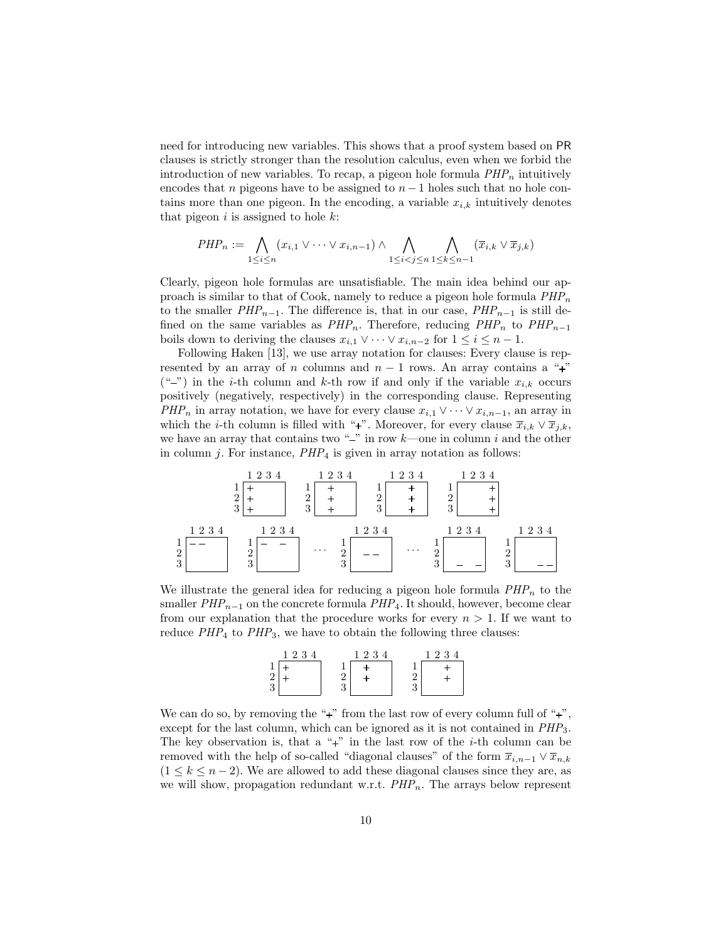need for introducing new variables. This shows that a proof system based on PR clauses is strictly stronger than the resolution calculus, even when we forbid the introduction of new variables. To recap, a pigeon hole formula  $PHP_n$  intuitively encodes that n pigeons have to be assigned to  $n-1$  holes such that no hole contains more than one pigeon. In the encoding, a variable  $x_{i,k}$  intuitively denotes that pigeon  $i$  is assigned to hole  $k$ :

$$
PHP_n := \bigwedge_{1 \leq i \leq n} (x_{i,1} \vee \cdots \vee x_{i,n-1}) \wedge \bigwedge_{1 \leq i < j \leq n} \bigwedge_{1 \leq k \leq n-1} (\overline{x}_{i,k} \vee \overline{x}_{j,k})
$$

Clearly, pigeon hole formulas are unsatisfiable. The main idea behind our approach is similar to that of Cook, namely to reduce a pigeon hole formula  $PHP_n$ to the smaller  $PHP_{n-1}$ . The difference is, that in our case,  $PHP_{n-1}$  is still defined on the same variables as  $PHP_n$ . Therefore, reducing  $PHP_n$  to  $PHP_{n-1}$ boils down to deriving the clauses  $x_{i,1} \vee \cdots \vee x_{i,n-2}$  for  $1 \leq i \leq n-1$ .

Following Haken [13], we use array notation for clauses: Every clause is represented by an array of n columns and  $n-1$  rows. An array contains a "+"  $({}^{\omega}$ ") in the *i*-th column and *k*-th row if and only if the variable  $x_{i,k}$  occurs positively (negatively, respectively) in the corresponding clause. Representing  $PHP_n$  in array notation, we have for every clause  $x_{i,1} \vee \cdots \vee x_{i,n-1}$ , an array in which the *i*-th column is filled with "+". Moreover, for every clause  $\overline{x}_{i,k} \vee \overline{x}_{j,k}$ , we have an array that contains two "-" in row  $k$ —one in column i and the other in column j. For instance,  $PHP_4$  is given in array notation as follows:



We illustrate the general idea for reducing a pigeon hole formula  $PHP_n$  to the smaller  $PHP_{n-1}$  on the concrete formula  $PHP_4$ . It should, however, become clear from our explanation that the procedure works for every  $n > 1$ . If we want to reduce  $PHP_4$  to  $PHP_3$ , we have to obtain the following three clauses:

| 1234 | 1234 | 234 |
|------|------|-----|
|      |      |     |
|      |      |     |
|      |      |     |

We can do so, by removing the " $+$ " from the last row of every column full of " $+$ ", except for the last column, which can be ignored as it is not contained in  $PHP_3$ . The key observation is, that a " $+$ " in the last row of the *i*-th column can be removed with the help of so-called "diagonal clauses" of the form  $\overline{x}_{i,n-1} \vee \overline{x}_{n,k}$  $(1 \leq k \leq n-2)$ . We are allowed to add these diagonal clauses since they are, as we will show, propagation redundant w.r.t.  $PHP_n$ . The arrays below represent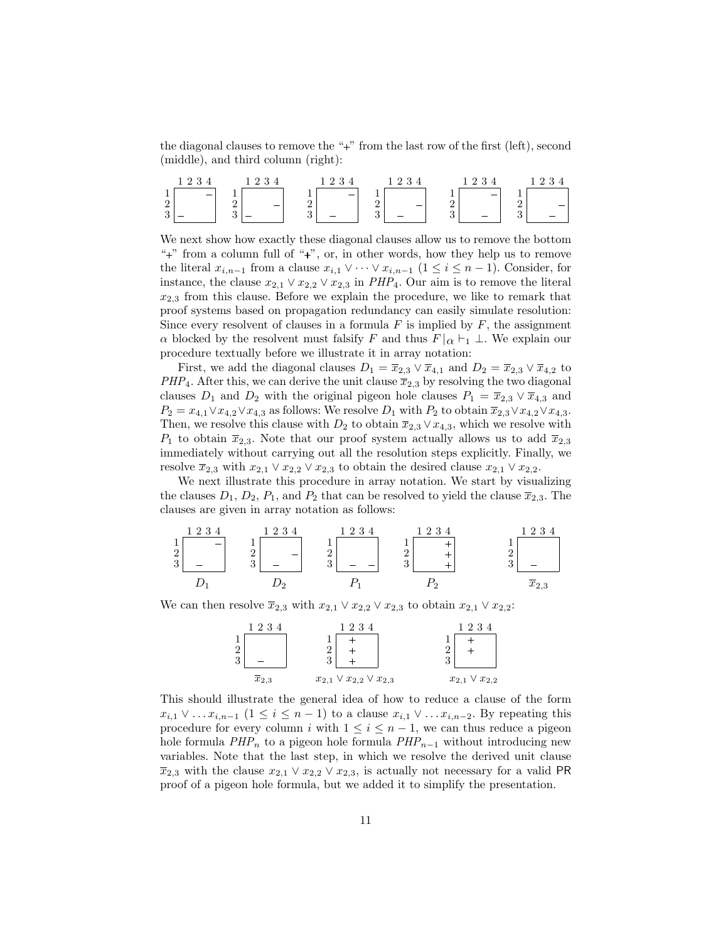the diagonal clauses to remove the " $+$ " from the last row of the first (left), second (middle), and third column (right):



We next show how exactly these diagonal clauses allow us to remove the bottom " $+$ " from a column full of " $+$ ", or, in other words, how they help us to remove the literal  $x_{i,n-1}$  from a clause  $x_{i,1} \vee \cdots \vee x_{i,n-1}$   $(1 \leq i \leq n-1)$ . Consider, for instance, the clause  $x_{2,1} \vee x_{2,2} \vee x_{2,3}$  in PHP<sub>4</sub>. Our aim is to remove the literal  $x_{2,3}$  from this clause. Before we explain the procedure, we like to remark that proof systems based on propagation redundancy can easily simulate resolution: Since every resolvent of clauses in a formula  $F$  is implied by  $F$ , the assignment α blocked by the resolvent must falsify F and thus  $F | \alpha \vdash_1 \bot$ . We explain our procedure textually before we illustrate it in array notation:

First, we add the diagonal clauses  $D_1 = \overline{x}_{2,3} \vee \overline{x}_{4,1}$  and  $D_2 = \overline{x}_{2,3} \vee \overline{x}_{4,2}$  to  $PHP_4$ . After this, we can derive the unit clause  $\overline{x}_{2,3}$  by resolving the two diagonal clauses  $D_1$  and  $D_2$  with the original pigeon hole clauses  $P_1 = \overline{x}_{2,3} \vee \overline{x}_{4,3}$  and  $P_2 = x_{4,1} \vee x_{4,2} \vee x_{4,3}$  as follows: We resolve  $D_1$  with  $P_2$  to obtain  $\overline{x}_{2,3} \vee x_{4,2} \vee x_{4,3}$ . Then, we resolve this clause with  $D_2$  to obtain  $\overline{x}_{2,3} \vee x_{4,3}$ , which we resolve with  $P_1$  to obtain  $\bar{x}_{2,3}$ . Note that our proof system actually allows us to add  $\bar{x}_{2,3}$ immediately without carrying out all the resolution steps explicitly. Finally, we resolve  $\overline{x}_{2,3}$  with  $x_{2,1} \vee x_{2,2} \vee x_{2,3}$  to obtain the desired clause  $x_{2,1} \vee x_{2,2}$ .

We next illustrate this procedure in array notation. We start by visualizing the clauses  $D_1, D_2, P_1$ , and  $P_2$  that can be resolved to yield the clause  $\overline{x}_{2,3}$ . The clauses are given in array notation as follows:

1 2 3 4 1 2 3 1 2 3 4 1 2 3 1 2 3 4 1 2 3 1 2 3 4 1 2 3 1 2 3 4 1 2 3 D<sup>1</sup> D<sup>2</sup> P<sup>1</sup> P<sup>2</sup> x2,<sup>3</sup>

We can then resolve  $\overline{x}_{2,3}$  with  $x_{2,1} \vee x_{2,2} \vee x_{2,3}$  to obtain  $x_{2,1} \vee x_{2,2}$ :



This should illustrate the general idea of how to reduce a clause of the form  $x_{i,1} \vee \ldots x_{i,n-1}$   $(1 \leq i \leq n-1)$  to a clause  $x_{i,1} \vee \ldots x_{i,n-2}$ . By repeating this procedure for every column i with  $1 \leq i \leq n-1$ , we can thus reduce a pigeon hole formula  $PHP_n$  to a pigeon hole formula  $PHP_{n-1}$  without introducing new variables. Note that the last step, in which we resolve the derived unit clause  $\overline{x}_{2,3}$  with the clause  $x_{2,1} \vee x_{2,2} \vee x_{2,3}$ , is actually not necessary for a valid PR proof of a pigeon hole formula, but we added it to simplify the presentation.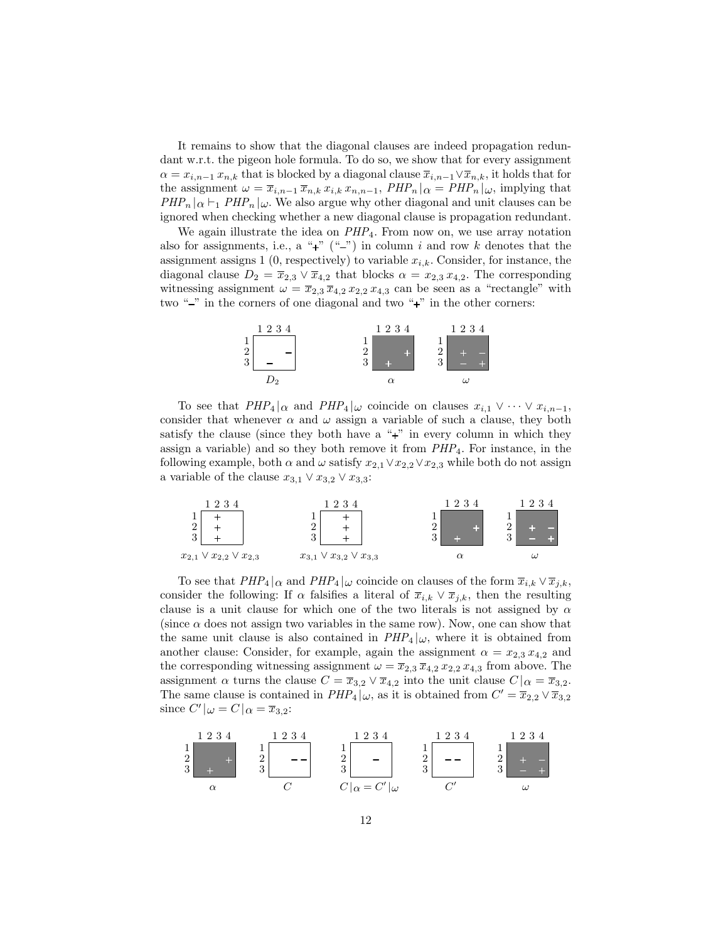It remains to show that the diagonal clauses are indeed propagation redundant w.r.t. the pigeon hole formula. To do so, we show that for every assignment  $\alpha = x_{i,n-1} x_{n,k}$  that is blocked by a diagonal clause  $\overline{x}_{i,n-1} \vee \overline{x}_{n,k}$ , it holds that for the assignment  $\omega = \overline{x}_{i,n-1} \overline{x}_{n,k} x_{i,k} x_{n,n-1}$ ,  $PHP_n | \alpha = PHP_n | \omega$ , implying that  $PHP_n |_{\alpha} \vdash_1 PHP_n |_{\omega}$ . We also argue why other diagonal and unit clauses can be ignored when checking whether a new diagonal clause is propagation redundant.

We again illustrate the idea on  $PHP_4$ . From now on, we use array notation also for assignments, i.e., a "+"  $($ "-") in column i and row k denotes that the assignment assigns 1 (0, respectively) to variable  $x_{i,k}$ . Consider, for instance, the diagonal clause  $D_2 = \overline{x}_{2,3} \vee \overline{x}_{4,2}$  that blocks  $\alpha = x_{2,3} x_{4,2}$ . The corresponding witnessing assignment  $\omega = \overline{x}_{2,3} \overline{x}_{4,2} x_{2,2} x_{4,3}$  can be seen as a "rectangle" with two " $\ddot{ }$ " in the corners of one diagonal and two " $\ddot{ }$ " in the other corners:



To see that  $PHP_4|_{\alpha}$  and  $PHP_4|_{\omega}$  coincide on clauses  $x_{i,1} \vee \cdots \vee x_{i,n-1}$ , consider that whenever  $\alpha$  and  $\omega$  assign a variable of such a clause, they both satisfy the clause (since they both have a " $+$ " in every column in which they assign a variable) and so they both remove it from  $PHP_4$ . For instance, in the following example, both  $\alpha$  and  $\omega$  satisfy  $x_{2,1} \vee x_{2,2} \vee x_{2,3}$  while both do not assign a variable of the clause  $x_{3,1} \vee x_{3,2} \vee x_{3,3}$ :



To see that  $PHP_4|_{\alpha}$  and  $PHP_4|_{\omega}$  coincide on clauses of the form  $\overline{x}_{i,k} \vee \overline{x}_{j,k}$ , consider the following: If  $\alpha$  falsifies a literal of  $\bar{x}_{i,k} \vee \bar{x}_{i,k}$ , then the resulting clause is a unit clause for which one of the two literals is not assigned by  $\alpha$ (since  $\alpha$  does not assign two variables in the same row). Now, one can show that the same unit clause is also contained in  $PHP_4\vert_{\omega}$ , where it is obtained from another clause: Consider, for example, again the assignment  $\alpha = x_{2,3} x_{4,2}$  and the corresponding witnessing assignment  $\omega = \overline{x}_{2,3} \overline{x}_{4,2} x_{2,2} x_{4,3}$  from above. The assignment  $\alpha$  turns the clause  $C = \overline{x}_{3,2} \vee \overline{x}_{4,2}$  into the unit clause  $C|_{\alpha} = \overline{x}_{3,2}$ . The same clause is contained in  $PHP_4|_{\omega}$ , as it is obtained from  $C' = \overline{x}_{2,2} \vee \overline{x}_{3,2}$ since  $C'|\omega = C|\alpha = \overline{x}_{3,2}$ :

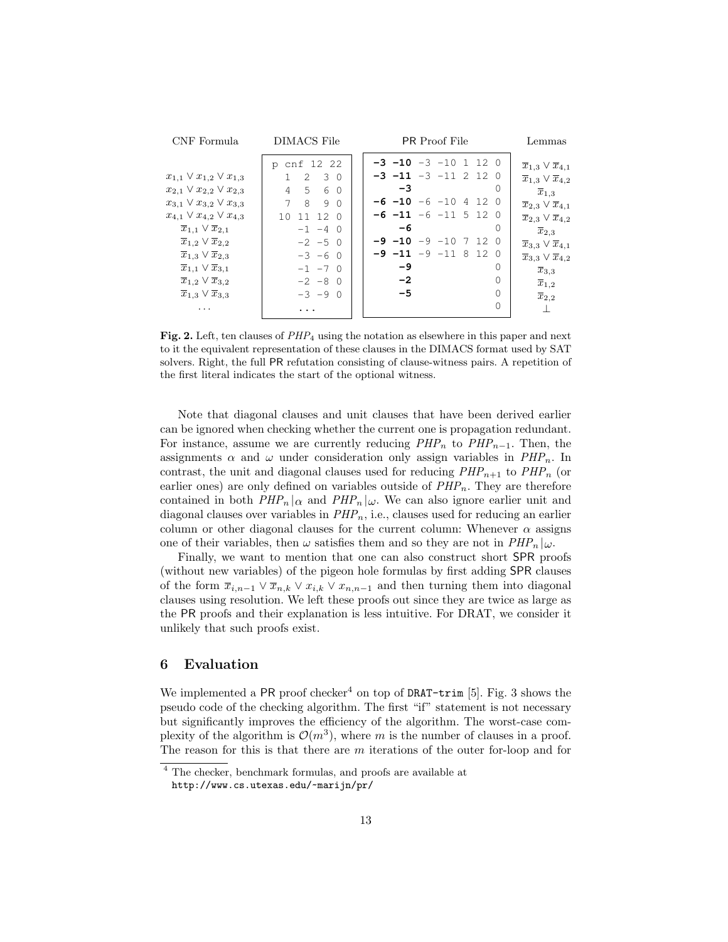| CNF Formula                                                                                                                                                                                                                                                                                                                                                                                                                                              | DIMACS File                                                                                                                                                             | <b>PR</b> Proof File                                                                                                                                                                                                                                                   | Lemmas                                                                                                                                                                                                                                                                                                                                                                                                               |
|----------------------------------------------------------------------------------------------------------------------------------------------------------------------------------------------------------------------------------------------------------------------------------------------------------------------------------------------------------------------------------------------------------------------------------------------------------|-------------------------------------------------------------------------------------------------------------------------------------------------------------------------|------------------------------------------------------------------------------------------------------------------------------------------------------------------------------------------------------------------------------------------------------------------------|----------------------------------------------------------------------------------------------------------------------------------------------------------------------------------------------------------------------------------------------------------------------------------------------------------------------------------------------------------------------------------------------------------------------|
| $x_{1,1} \vee x_{1,2} \vee x_{1,3}$<br>$x_{2,1} \vee x_{2,2} \vee x_{2,3}$<br>$x_{3,1} \vee x_{3,2} \vee x_{3,3}$<br>$x_{4,1} \vee x_{4,2} \vee x_{4,3}$<br>$\overline{x}_{1,1} \vee \overline{x}_{2,1}$<br>$\overline{x}_{1,2} \vee \overline{x}_{2,2}$<br>$\overline{x}_{1,3} \vee \overline{x}_{2,3}$<br>$\overline{x}_{1,1} \vee \overline{x}_{3,1}$<br>$\overline{x}_{1,2} \vee \overline{x}_{3,2}$<br>$\overline{x}_{1,3} \vee \overline{x}_{3,3}$ | p cnf 12 22<br>$1 \t2 \t3 \t0$<br>5 6 0<br>$\overline{4}$<br>7 8<br>9 0<br>10 11 12 0<br>$-1 -4 0$<br>$-2 -5 0$<br>$-3 -6 0$<br>$-1$ $-7$ 0<br>$-2 -8 = 0$<br>$-3 -9 0$ | $-3$ $-10$ $-3$ $-10$ 1 12 0<br>$-3$ $-11$ $-3$ $-11$ 2 12 0<br>$-3$<br>0<br>$-6$ $-10$ $-6$ $-10$ 4 12 0<br>$-6$ $-11$ $-6$ $-11$ 5 12 0<br>-6<br>$\left( \right)$<br>$-9$ $-10$ $-9$ $-10$ 7 12 0<br>$-9$ $-11$ $-9$ $-11$ 8 12 0<br>-9<br>0<br>-2<br>0<br>$-5$<br>0 | $\overline{x}_{1,3} \vee \overline{x}_{4,1}$<br>$\overline{x}_{1,3} \vee \overline{x}_{4,2}$<br>$\overline{x}_{1,3}$<br>$\overline{x}_{2,3} \vee \overline{x}_{4,1}$<br>$\overline{x}_{2,3} \vee \overline{x}_{4,2}$<br>$\overline{x}_{2,3}$<br>$\overline{x}_{3,3} \vee \overline{x}_{4,1}$<br>$\overline{x}_{3,3} \vee \overline{x}_{4,2}$<br>$\overline{x}_{3,3}$<br>$\overline{x}_{1,2}$<br>$\overline{x}_{2,2}$ |
| $\cdot$ $\cdot$ $\cdot$                                                                                                                                                                                                                                                                                                                                                                                                                                  | .                                                                                                                                                                       | Ω                                                                                                                                                                                                                                                                      |                                                                                                                                                                                                                                                                                                                                                                                                                      |

Fig. 2. Left, ten clauses of  $PHP_4$  using the notation as elsewhere in this paper and next to it the equivalent representation of these clauses in the DIMACS format used by SAT solvers. Right, the full PR refutation consisting of clause-witness pairs. A repetition of the first literal indicates the start of the optional witness.

Note that diagonal clauses and unit clauses that have been derived earlier can be ignored when checking whether the current one is propagation redundant. For instance, assume we are currently reducing  $PHP_n$  to  $PHP_{n-1}$ . Then, the assignments  $\alpha$  and  $\omega$  under consideration only assign variables in  $PHP_n$ . In contrast, the unit and diagonal clauses used for reducing  $PHP_{n+1}$  to  $PHP_n$  (or earlier ones) are only defined on variables outside of  $PHP_n$ . They are therefore contained in both  $PHP_n|_{\alpha}$  and  $PHP_n|_{\omega}$ . We can also ignore earlier unit and diagonal clauses over variables in  $PHP_n$ , i.e., clauses used for reducing an earlier column or other diagonal clauses for the current column: Whenever  $\alpha$  assigns one of their variables, then  $\omega$  satisfies them and so they are not in  $PHP_n|\omega$ .

Finally, we want to mention that one can also construct short SPR proofs (without new variables) of the pigeon hole formulas by first adding SPR clauses of the form  $\overline{x}_{i,n-1} \vee \overline{x}_{n,k} \vee x_{i,k} \vee x_{n,n-1}$  and then turning them into diagonal clauses using resolution. We left these proofs out since they are twice as large as the PR proofs and their explanation is less intuitive. For DRAT, we consider it unlikely that such proofs exist.

## 6 Evaluation

We implemented a PR proof checker<sup>4</sup> on top of DRAT-trim [5]. Fig. 3 shows the pseudo code of the checking algorithm. The first "if" statement is not necessary but significantly improves the efficiency of the algorithm. The worst-case complexity of the algorithm is  $\mathcal{O}(m^3)$ , where m is the number of clauses in a proof. The reason for this is that there are  $m$  iterations of the outer for-loop and for

<sup>4</sup> The checker, benchmark formulas, and proofs are available at http://www.cs.utexas.edu/~marijn/pr/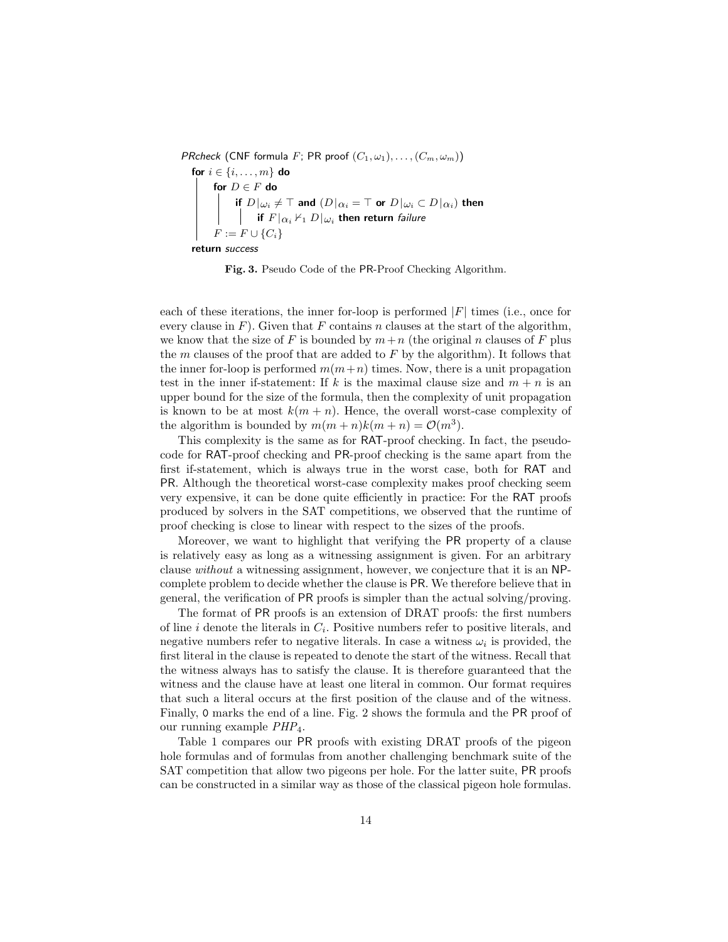```
PRcheck (CNF formula F; PR proof (C_1, \omega_1), \ldots, (C_m, \omega_m))
    for i \in \{i, \ldots, m\} do<br>
\begin{array}{|c|} \hline \textbf{for } D \in F \textbf{ do} \end{array}for D\in F do
                     if D|_{\omega_i} \neq \top and (D|_{\alpha_i} = \top or D|_{\omega_i} \subset D|_{\alpha_i}) then
                             if F|\alpha_i \nvdash_1 D|\omega_i then return failure
            F := F \cup \{C_i\}return success
```
Fig. 3. Pseudo Code of the PR-Proof Checking Algorithm.

each of these iterations, the inner for-loop is performed  $|F|$  times (i.e., once for every clause in  $F$ ). Given that  $F$  contains n clauses at the start of the algorithm, we know that the size of F is bounded by  $m+n$  (the original n clauses of F plus the m clauses of the proof that are added to  $F$  by the algorithm). It follows that the inner for-loop is performed  $m(m+n)$  times. Now, there is a unit propagation test in the inner if-statement: If k is the maximal clause size and  $m + n$  is an upper bound for the size of the formula, then the complexity of unit propagation is known to be at most  $k(m + n)$ . Hence, the overall worst-case complexity of the algorithm is bounded by  $m(m+n)k(m+n) = O(m^3)$ .

This complexity is the same as for RAT-proof checking. In fact, the pseudocode for RAT-proof checking and PR-proof checking is the same apart from the first if-statement, which is always true in the worst case, both for RAT and PR. Although the theoretical worst-case complexity makes proof checking seem very expensive, it can be done quite efficiently in practice: For the RAT proofs produced by solvers in the SAT competitions, we observed that the runtime of proof checking is close to linear with respect to the sizes of the proofs.

Moreover, we want to highlight that verifying the PR property of a clause is relatively easy as long as a witnessing assignment is given. For an arbitrary clause without a witnessing assignment, however, we conjecture that it is an NPcomplete problem to decide whether the clause is PR. We therefore believe that in general, the verification of PR proofs is simpler than the actual solving/proving.

The format of PR proofs is an extension of DRAT proofs: the first numbers of line *i* denote the literals in  $C_i$ . Positive numbers refer to positive literals, and negative numbers refer to negative literals. In case a witness  $\omega_i$  is provided, the first literal in the clause is repeated to denote the start of the witness. Recall that the witness always has to satisfy the clause. It is therefore guaranteed that the witness and the clause have at least one literal in common. Our format requires that such a literal occurs at the first position of the clause and of the witness. Finally, 0 marks the end of a line. Fig. 2 shows the formula and the PR proof of our running example  $PHP_4$ .

Table 1 compares our PR proofs with existing DRAT proofs of the pigeon hole formulas and of formulas from another challenging benchmark suite of the SAT competition that allow two pigeons per hole. For the latter suite, PR proofs can be constructed in a similar way as those of the classical pigeon hole formulas.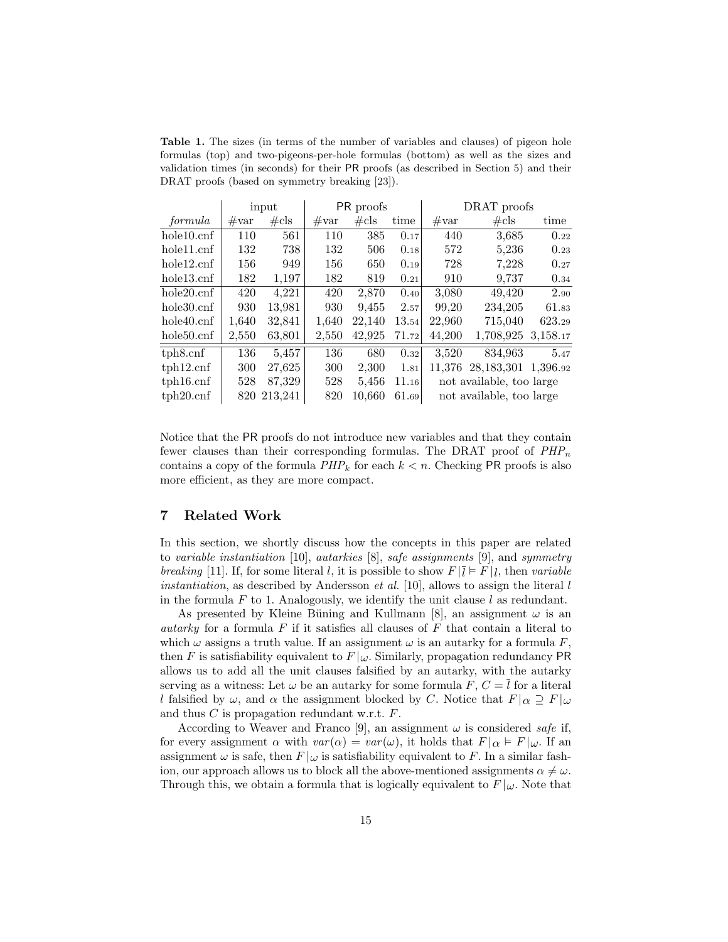Table 1. The sizes (in terms of the number of variables and clauses) of pigeon hole formulas (top) and two-pigeons-per-hole formulas (bottom) as well as the sizes and validation times (in seconds) for their PR proofs (as described in Section 5) and their DRAT proofs (based on symmetry breaking [23]).

|                  |                | input          |                                                    | PR proofs        |       | DRAT proofs    |                          |          |  |
|------------------|----------------|----------------|----------------------------------------------------|------------------|-------|----------------|--------------------------|----------|--|
| formula          | $\#\text{var}$ | $\#\text{cls}$ | $\#\text{var}$                                     | $\#\mathrm{cls}$ | time  | $\#\text{var}$ | $\#\mathrm{cls}$         | time     |  |
| hole10.cnf       | 110            | 561            | 110                                                | 385              | 0.17  | 440            | 3,685                    | 0.22     |  |
| hole11.cnf       | 132            | 738            | 132                                                | 506              | 0.18  | 572            | 5,236                    | 0.23     |  |
| hole12.cnf       | 156            | 949            | 156                                                | 650              | 0.19  | 728            | 7,228                    | 0.27     |  |
| hole13.cnf       | 182            | 1,197          | 182                                                | 819              | 0.21  | 910            | 9,737                    | 0.34     |  |
| hole20.cnf       | 420            | 4.221          | 420                                                | 2,870            | 0.40  | 3,080          | 49.420                   | 2.90     |  |
| hole30.cnf       | 930            | 13,981         | 930                                                | 9.455            | 2.57  | 99,20          | 234,205                  | 61.83    |  |
| hole40.cnf       | 1,640          | 32,841         | 1,640                                              | 22.140           | 13.54 | 22,960         | 715,040                  | 623.29   |  |
| hole50.cnf       | 2,550          | 63,801         | 2,550                                              | 42,925           | 71.72 | 44,200         | 1,708,925                | 3,158.17 |  |
| tph8.cnf         | 136            | 5,457          | 136                                                | 680              | 0.32  | 3,520          | 834,963                  | 5.47     |  |
| tph12.cnf        | 300            | 27,625         | 300                                                | 2,300            | 1.81  | 11.376         | 28, 183, 301             | 1,396.92 |  |
| tph16.cnf<br>528 |                | 87,329         | 528                                                | 5,456            | 11.16 |                | not available, too large |          |  |
| tph20.cnf        | 820            | 213.241        | 820<br>10.660<br>not available, too large<br>61.69 |                  |       |                |                          |          |  |

Notice that the PR proofs do not introduce new variables and that they contain fewer clauses than their corresponding formulas. The DRAT proof of  $PHP_n$ contains a copy of the formula  $PHP_k$  for each  $k < n$ . Checking PR proofs is also more efficient, as they are more compact.

## 7 Related Work

In this section, we shortly discuss how the concepts in this paper are related to variable instantiation [10], autarkies [8], safe assignments [9], and symmetry breaking [11]. If, for some literal l, it is possible to show  $F|\overline{l} \models F|$ ], then variable *instantiation*, as described by Andersson *et al.* [10], allows to assign the literal l in the formula  $F$  to 1. Analogously, we identify the unit clause  $l$  as redundant.

As presented by Kleine Büning and Kullmann [8], an assignment  $\omega$  is an autarky for a formula  $F$  if it satisfies all clauses of  $F$  that contain a literal to which  $\omega$  assigns a truth value. If an assignment  $\omega$  is an autarky for a formula F, then F is satisfiability equivalent to  $F|\omega$ . Similarly, propagation redundancy PR allows us to add all the unit clauses falsified by an autarky, with the autarky serving as a witness: Let  $\omega$  be an autarky for some formula F,  $C = \overline{l}$  for a literal l falsified by  $\omega$ , and  $\alpha$  the assignment blocked by C. Notice that  $F|\alpha \supseteq F|\omega$ and thus  $C$  is propagation redundant w.r.t.  $F$ .

According to Weaver and Franco [9], an assignment  $\omega$  is considered safe if, for every assignment  $\alpha$  with  $var(\alpha) = var(\omega)$ , it holds that  $F|_{\alpha} \models F|_{\omega}$ . If an assignment  $\omega$  is safe, then  $F|\omega$  is satisfiability equivalent to F. In a similar fashion, our approach allows us to block all the above-mentioned assignments  $\alpha \neq \omega$ . Through this, we obtain a formula that is logically equivalent to  $F | \omega$ . Note that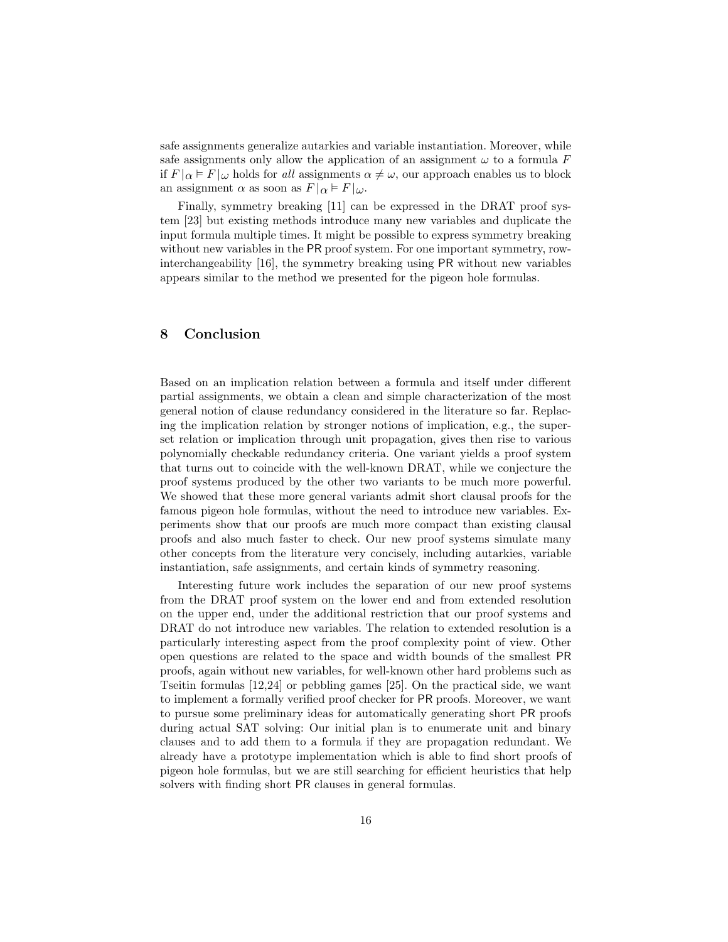safe assignments generalize autarkies and variable instantiation. Moreover, while safe assignments only allow the application of an assignment  $\omega$  to a formula F if  $F |_{\alpha} \models F |_{\omega}$  holds for all assignments  $\alpha \neq \omega$ , our approach enables us to block an assignment  $\alpha$  as soon as  $F|_{\alpha} \models F|_{\omega}$ .

Finally, symmetry breaking [11] can be expressed in the DRAT proof system [23] but existing methods introduce many new variables and duplicate the input formula multiple times. It might be possible to express symmetry breaking without new variables in the PR proof system. For one important symmetry, rowinterchangeability [16], the symmetry breaking using PR without new variables appears similar to the method we presented for the pigeon hole formulas.

## 8 Conclusion

Based on an implication relation between a formula and itself under different partial assignments, we obtain a clean and simple characterization of the most general notion of clause redundancy considered in the literature so far. Replacing the implication relation by stronger notions of implication, e.g., the superset relation or implication through unit propagation, gives then rise to various polynomially checkable redundancy criteria. One variant yields a proof system that turns out to coincide with the well-known DRAT, while we conjecture the proof systems produced by the other two variants to be much more powerful. We showed that these more general variants admit short clausal proofs for the famous pigeon hole formulas, without the need to introduce new variables. Experiments show that our proofs are much more compact than existing clausal proofs and also much faster to check. Our new proof systems simulate many other concepts from the literature very concisely, including autarkies, variable instantiation, safe assignments, and certain kinds of symmetry reasoning.

Interesting future work includes the separation of our new proof systems from the DRAT proof system on the lower end and from extended resolution on the upper end, under the additional restriction that our proof systems and DRAT do not introduce new variables. The relation to extended resolution is a particularly interesting aspect from the proof complexity point of view. Other open questions are related to the space and width bounds of the smallest PR proofs, again without new variables, for well-known other hard problems such as Tseitin formulas [12,24] or pebbling games [25]. On the practical side, we want to implement a formally verified proof checker for PR proofs. Moreover, we want to pursue some preliminary ideas for automatically generating short PR proofs during actual SAT solving: Our initial plan is to enumerate unit and binary clauses and to add them to a formula if they are propagation redundant. We already have a prototype implementation which is able to find short proofs of pigeon hole formulas, but we are still searching for efficient heuristics that help solvers with finding short PR clauses in general formulas.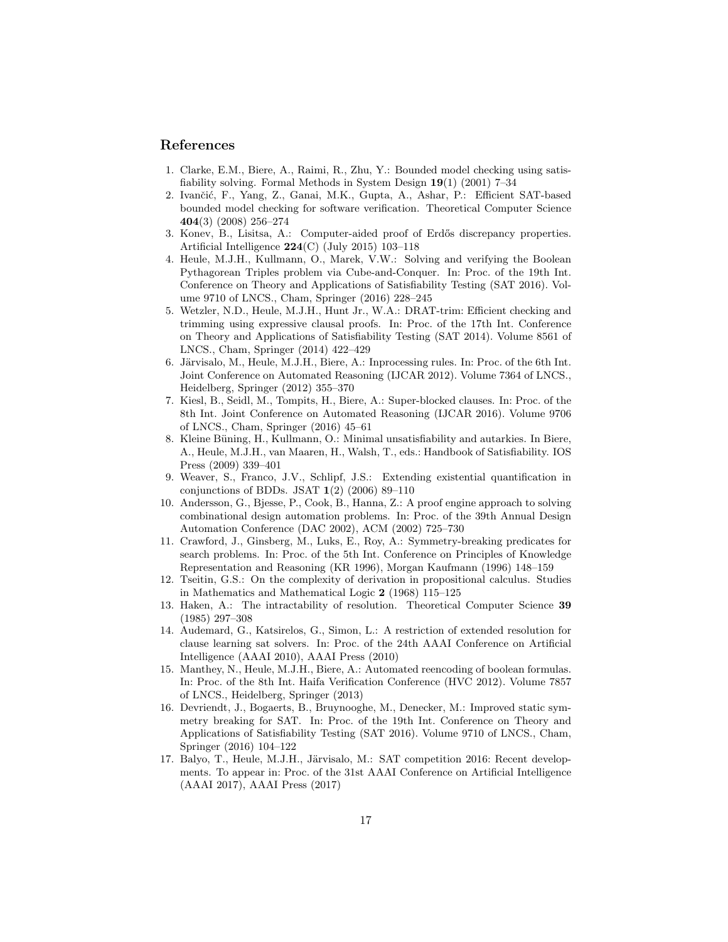## References

- 1. Clarke, E.M., Biere, A., Raimi, R., Zhu, Y.: Bounded model checking using satisfiability solving. Formal Methods in System Design 19(1) (2001) 7–34
- 2. Ivančić, F., Yang, Z., Ganai, M.K., Gupta, A., Ashar, P.: Efficient SAT-based bounded model checking for software verification. Theoretical Computer Science 404(3) (2008) 256–274
- 3. Konev, B., Lisitsa, A.: Computer-aided proof of Erdős discrepancy properties. Artificial Intelligence 224(C) (July 2015) 103–118
- 4. Heule, M.J.H., Kullmann, O., Marek, V.W.: Solving and verifying the Boolean Pythagorean Triples problem via Cube-and-Conquer. In: Proc. of the 19th Int. Conference on Theory and Applications of Satisfiability Testing (SAT 2016). Volume 9710 of LNCS., Cham, Springer (2016) 228–245
- 5. Wetzler, N.D., Heule, M.J.H., Hunt Jr., W.A.: DRAT-trim: Efficient checking and trimming using expressive clausal proofs. In: Proc. of the 17th Int. Conference on Theory and Applications of Satisfiability Testing (SAT 2014). Volume 8561 of LNCS., Cham, Springer (2014) 422–429
- 6. Järvisalo, M., Heule, M.J.H., Biere, A.: Inprocessing rules. In: Proc. of the 6th Int. Joint Conference on Automated Reasoning (IJCAR 2012). Volume 7364 of LNCS., Heidelberg, Springer (2012) 355–370
- 7. Kiesl, B., Seidl, M., Tompits, H., Biere, A.: Super-blocked clauses. In: Proc. of the 8th Int. Joint Conference on Automated Reasoning (IJCAR 2016). Volume 9706 of LNCS., Cham, Springer (2016) 45–61
- 8. Kleine Büning, H., Kullmann, O.: Minimal unsatisfiability and autarkies. In Biere, A., Heule, M.J.H., van Maaren, H., Walsh, T., eds.: Handbook of Satisfiability. IOS Press (2009) 339–401
- 9. Weaver, S., Franco, J.V., Schlipf, J.S.: Extending existential quantification in conjunctions of BDDs. JSAT 1(2) (2006) 89–110
- 10. Andersson, G., Bjesse, P., Cook, B., Hanna, Z.: A proof engine approach to solving combinational design automation problems. In: Proc. of the 39th Annual Design Automation Conference (DAC 2002), ACM (2002) 725–730
- 11. Crawford, J., Ginsberg, M., Luks, E., Roy, A.: Symmetry-breaking predicates for search problems. In: Proc. of the 5th Int. Conference on Principles of Knowledge Representation and Reasoning (KR 1996), Morgan Kaufmann (1996) 148–159
- 12. Tseitin, G.S.: On the complexity of derivation in propositional calculus. Studies in Mathematics and Mathematical Logic 2 (1968) 115–125
- 13. Haken, A.: The intractability of resolution. Theoretical Computer Science 39 (1985) 297–308
- 14. Audemard, G., Katsirelos, G., Simon, L.: A restriction of extended resolution for clause learning sat solvers. In: Proc. of the 24th AAAI Conference on Artificial Intelligence (AAAI 2010), AAAI Press (2010)
- 15. Manthey, N., Heule, M.J.H., Biere, A.: Automated reencoding of boolean formulas. In: Proc. of the 8th Int. Haifa Verification Conference (HVC 2012). Volume 7857 of LNCS., Heidelberg, Springer (2013)
- 16. Devriendt, J., Bogaerts, B., Bruynooghe, M., Denecker, M.: Improved static symmetry breaking for SAT. In: Proc. of the 19th Int. Conference on Theory and Applications of Satisfiability Testing (SAT 2016). Volume 9710 of LNCS., Cham, Springer (2016) 104–122
- 17. Balyo, T., Heule, M.J.H., Järvisalo, M.: SAT competition 2016: Recent developments. To appear in: Proc. of the 31st AAAI Conference on Artificial Intelligence (AAAI 2017), AAAI Press (2017)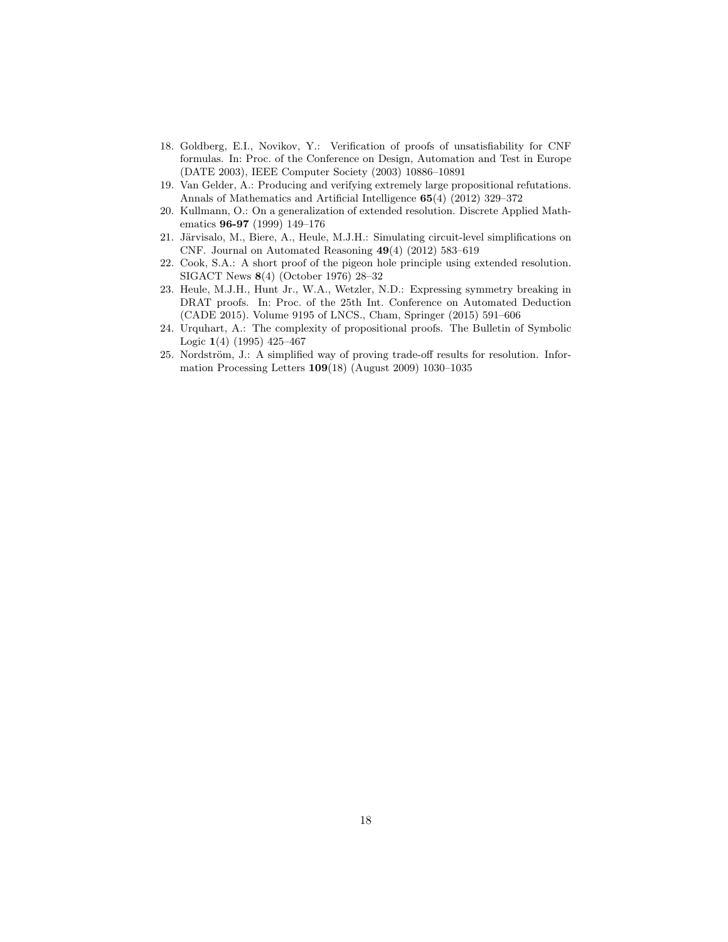- 18. Goldberg, E.I., Novikov, Y.: Verification of proofs of unsatisfiability for CNF formulas. In: Proc. of the Conference on Design, Automation and Test in Europe (DATE 2003), IEEE Computer Society (2003) 10886–10891
- 19. Van Gelder, A.: Producing and verifying extremely large propositional refutations. Annals of Mathematics and Artificial Intelligence 65(4) (2012) 329–372
- 20. Kullmann, O.: On a generalization of extended resolution. Discrete Applied Mathematics 96-97 (1999) 149–176
- 21. Järvisalo, M., Biere, A., Heule, M.J.H.: Simulating circuit-level simplifications on CNF. Journal on Automated Reasoning 49(4) (2012) 583–619
- 22. Cook, S.A.: A short proof of the pigeon hole principle using extended resolution. SIGACT News 8(4) (October 1976) 28–32
- 23. Heule, M.J.H., Hunt Jr., W.A., Wetzler, N.D.: Expressing symmetry breaking in DRAT proofs. In: Proc. of the 25th Int. Conference on Automated Deduction (CADE 2015). Volume 9195 of LNCS., Cham, Springer (2015) 591–606
- 24. Urquhart, A.: The complexity of propositional proofs. The Bulletin of Symbolic Logic 1(4) (1995) 425–467
- 25. Nordström, J.: A simplified way of proving trade-off results for resolution. Information Processing Letters 109(18) (August 2009) 1030–1035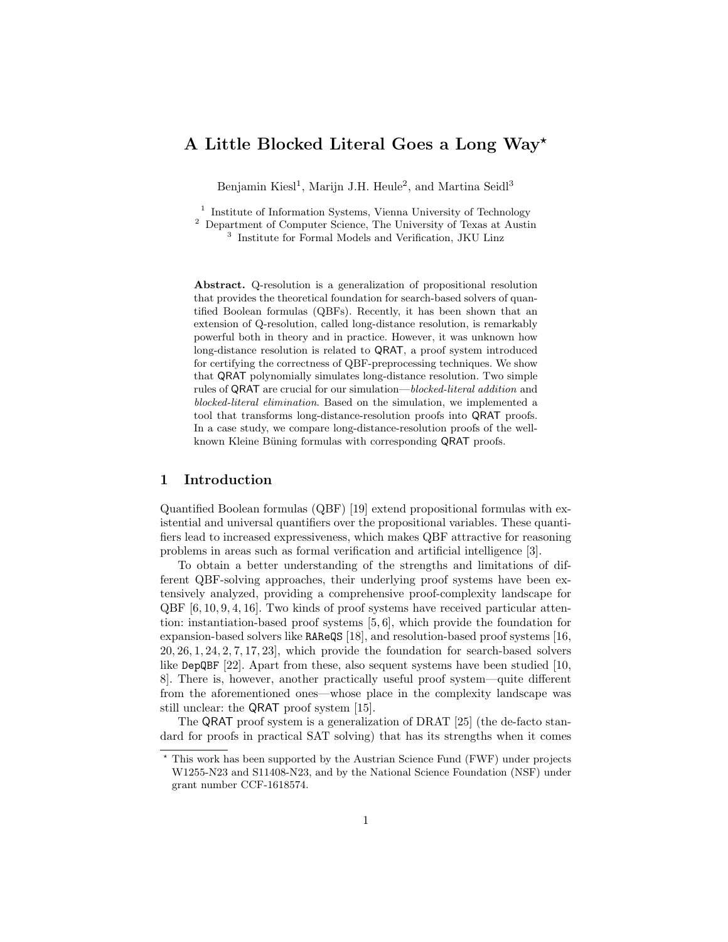# A Little Blocked Literal Goes a Long Way?

Benjamin Kiesl<sup>1</sup>, Marijn J.H. Heule<sup>2</sup>, and Martina Seidl<sup>3</sup>

<sup>1</sup> Institute of Information Systems, Vienna University of Technology

<sup>2</sup> Department of Computer Science, The University of Texas at Austin

3 Institute for Formal Models and Verification, JKU Linz

Abstract. Q-resolution is a generalization of propositional resolution that provides the theoretical foundation for search-based solvers of quantified Boolean formulas (QBFs). Recently, it has been shown that an extension of Q-resolution, called long-distance resolution, is remarkably powerful both in theory and in practice. However, it was unknown how long-distance resolution is related to QRAT, a proof system introduced for certifying the correctness of QBF-preprocessing techniques. We show that QRAT polynomially simulates long-distance resolution. Two simple rules of QRAT are crucial for our simulation—blocked-literal addition and blocked-literal elimination. Based on the simulation, we implemented a tool that transforms long-distance-resolution proofs into QRAT proofs. In a case study, we compare long-distance-resolution proofs of the wellknown Kleine Büning formulas with corresponding **QRAT** proofs.

## 1 Introduction

Quantified Boolean formulas (QBF) [19] extend propositional formulas with existential and universal quantifiers over the propositional variables. These quantifiers lead to increased expressiveness, which makes QBF attractive for reasoning problems in areas such as formal verification and artificial intelligence [3].

To obtain a better understanding of the strengths and limitations of different QBF-solving approaches, their underlying proof systems have been extensively analyzed, providing a comprehensive proof-complexity landscape for QBF [6, 10, 9, 4, 16]. Two kinds of proof systems have received particular attention: instantiation-based proof systems [5, 6], which provide the foundation for expansion-based solvers like RAReQS [18], and resolution-based proof systems [16, 20, 26, 1, 24, 2, 7, 17, 23], which provide the foundation for search-based solvers like DepQBF [22]. Apart from these, also sequent systems have been studied [10, 8]. There is, however, another practically useful proof system—quite different from the aforementioned ones—whose place in the complexity landscape was still unclear: the QRAT proof system [15].

The QRAT proof system is a generalization of DRAT [25] (the de-facto standard for proofs in practical SAT solving) that has its strengths when it comes

<sup>?</sup> This work has been supported by the Austrian Science Fund (FWF) under projects W1255-N23 and S11408-N23, and by the National Science Foundation (NSF) under grant number CCF-1618574.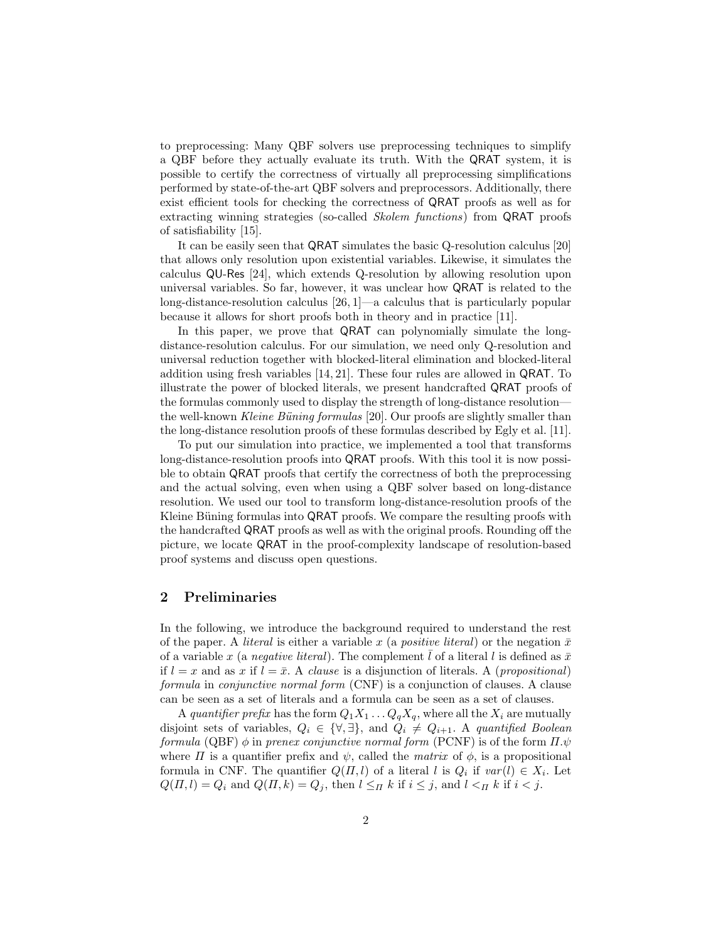to preprocessing: Many QBF solvers use preprocessing techniques to simplify a QBF before they actually evaluate its truth. With the QRAT system, it is possible to certify the correctness of virtually all preprocessing simplifications performed by state-of-the-art QBF solvers and preprocessors. Additionally, there exist efficient tools for checking the correctness of QRAT proofs as well as for extracting winning strategies (so-called *Skolem functions*) from **QRAT** proofs of satisfiability [15].

It can be easily seen that QRAT simulates the basic Q-resolution calculus [20] that allows only resolution upon existential variables. Likewise, it simulates the calculus QU-Res [24], which extends Q-resolution by allowing resolution upon universal variables. So far, however, it was unclear how QRAT is related to the long-distance-resolution calculus [26, 1]—a calculus that is particularly popular because it allows for short proofs both in theory and in practice [11].

In this paper, we prove that **QRAT** can polynomially simulate the longdistance-resolution calculus. For our simulation, we need only Q-resolution and universal reduction together with blocked-literal elimination and blocked-literal addition using fresh variables [14, 21]. These four rules are allowed in QRAT. To illustrate the power of blocked literals, we present handcrafted QRAT proofs of the formulas commonly used to display the strength of long-distance resolution the well-known *Kleine Büning formulas* [20]. Our proofs are slightly smaller than the long-distance resolution proofs of these formulas described by Egly et al. [11].

To put our simulation into practice, we implemented a tool that transforms long-distance-resolution proofs into QRAT proofs. With this tool it is now possible to obtain QRAT proofs that certify the correctness of both the preprocessing and the actual solving, even when using a QBF solver based on long-distance resolution. We used our tool to transform long-distance-resolution proofs of the Kleine Büning formulas into QRAT proofs. We compare the resulting proofs with the handcrafted QRAT proofs as well as with the original proofs. Rounding off the picture, we locate QRAT in the proof-complexity landscape of resolution-based proof systems and discuss open questions.

## 2 Preliminaries

In the following, we introduce the background required to understand the rest of the paper. A *literal* is either a variable x (a *positive literal*) or the negation  $\bar{x}$ of a variable x (a negative literal). The complement  $\overline{l}$  of a literal l is defined as  $\overline{x}$ if  $l = x$  and as x if  $l = \bar{x}$ . A clause is a disjunction of literals. A (propositional) formula in conjunctive normal form (CNF) is a conjunction of clauses. A clause can be seen as a set of literals and a formula can be seen as a set of clauses.

A quantifier prefix has the form  $Q_1X_1 \ldots Q_qX_q$ , where all the  $X_i$  are mutually disjoint sets of variables,  $Q_i \in \{\forall, \exists\}$ , and  $Q_i \neq Q_{i+1}$ . A quantified Boolean formula (QBF)  $\phi$  in prenex conjunctive normal form (PCNF) is of the form  $\Pi.\psi$ where  $\Pi$  is a quantifier prefix and  $\psi$ , called the matrix of  $\phi$ , is a propositional formula in CNF. The quantifier  $Q(\Pi, l)$  of a literal l is  $Q_i$  if  $var(l) \in X_i$ . Let  $Q(\Pi, l) = Q_i$  and  $Q(\Pi, k) = Q_j$ , then  $l \leq \Pi k$  if  $i \leq j$ , and  $l \leq \Pi k$  if  $i < j$ .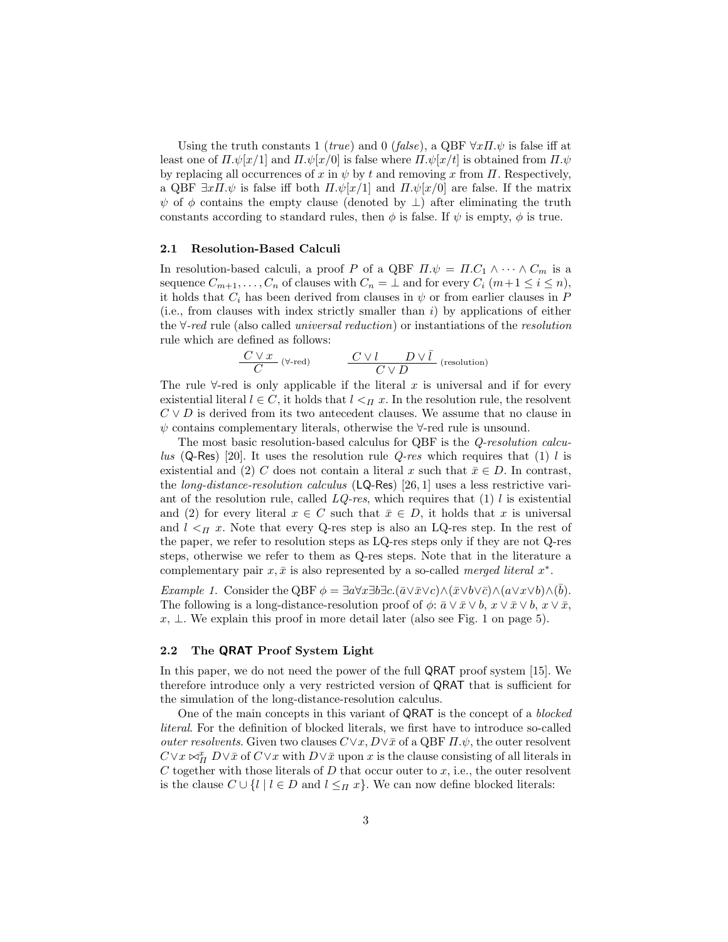Using the truth constants 1 (true) and 0 (false), a QBF  $\forall x \Pi.\psi$  is false iff at least one of  $\Pi.\psi[x/1]$  and  $\Pi.\psi[x/0]$  is false where  $\Pi.\psi[x/t]$  is obtained from  $\Pi.\psi$ by replacing all occurrences of x in  $\psi$  by t and removing x from  $\Pi$ . Respectively, a QBF  $\exists x \Pi.\psi$  is false iff both  $\Pi.\psi[x/1]$  and  $\Pi.\psi[x/0]$  are false. If the matrix  $\psi$  of  $\phi$  contains the empty clause (denoted by  $\bot$ ) after eliminating the truth constants according to standard rules, then  $\phi$  is false. If  $\psi$  is empty,  $\phi$  is true.

#### 2.1 Resolution-Based Calculi

In resolution-based calculi, a proof P of a QBF  $\Pi.\psi = \Pi.C_1 \wedge \cdots \wedge C_m$  is a sequence  $C_{m+1}, \ldots, C_n$  of clauses with  $C_n = \perp$  and for every  $C_i$   $(m+1 \leq i \leq n)$ , it holds that  $C_i$  has been derived from clauses in  $\psi$  or from earlier clauses in P  $(i.e., from clauses with index strictly smaller than i) by applications of either$ the ∀-red rule (also called universal reduction) or instantiations of the resolution rule which are defined as follows:

$$
\frac{C \vee x}{C} \quad (\forall \text{-red}) \qquad \frac{C \vee l}{C \vee D} \quad (\text{resolution})
$$

The rule  $\forall$ -red is only applicable if the literal x is universal and if for every existential literal  $l \in C$ , it holds that  $l <sub>II</sub> x$ . In the resolution rule, the resolvent  $C \vee D$  is derived from its two antecedent clauses. We assume that no clause in  $\psi$  contains complementary literals, otherwise the  $\forall$ -red rule is unsound.

The most basic resolution-based calculus for QBF is the Q-resolution calculus (Q-Res) [20]. It uses the resolution rule  $Q$ -res which requires that (1) l is existential and (2) C does not contain a literal x such that  $\bar{x} \in D$ . In contrast, the long-distance-resolution calculus (LQ-Res) [26, 1] uses a less restrictive variant of the resolution rule, called  $LQ$ -res, which requires that (1) l is existential and (2) for every literal  $x \in C$  such that  $\bar{x} \in D$ , it holds that x is universal and  $l <_{\Pi} x$ . Note that every Q-res step is also an LQ-res step. In the rest of the paper, we refer to resolution steps as LQ-res steps only if they are not Q-res steps, otherwise we refer to them as Q-res steps. Note that in the literature a complementary pair  $x, \bar{x}$  is also represented by a so-called *merged literal*  $x^*$ .

Example 1. Consider the QBF  $\phi = \exists a \forall x \exists b \exists c. (\bar{a} \vee \bar{x} \vee c) \wedge (\bar{x} \vee b \vee \bar{c}) \wedge (a \vee x \vee b) \wedge (\bar{b}).$ The following is a long-distance-resolution proof of  $\phi$ :  $\bar{a} \vee \bar{x} \vee b$ ,  $x \vee \bar{x} \vee b$ ,  $x \vee \bar{x}$ ,  $x, \perp$ . We explain this proof in more detail later (also see Fig. 1 on page 5).

## 2.2 The QRAT Proof System Light

In this paper, we do not need the power of the full QRAT proof system [15]. We therefore introduce only a very restricted version of QRAT that is sufficient for the simulation of the long-distance-resolution calculus.

One of the main concepts in this variant of QRAT is the concept of a blocked literal. For the definition of blocked literals, we first have to introduce so-called *outer resolvents*. Given two clauses  $C \vee x$ ,  $D \vee \bar{x}$  of a QBF  $\Pi.\psi$ , the outer resolvent  $C \vee x \bowtie^x_{\Pi} D \vee \bar{x}$  of  $C \vee x$  with  $D \vee \bar{x}$  upon x is the clause consisting of all literals in  $C$  together with those literals of  $D$  that occur outer to  $x$ , i.e., the outer resolvent is the clause  $C \cup \{l \mid l \in D \text{ and } l \leq \{I\}}$ . We can now define blocked literals: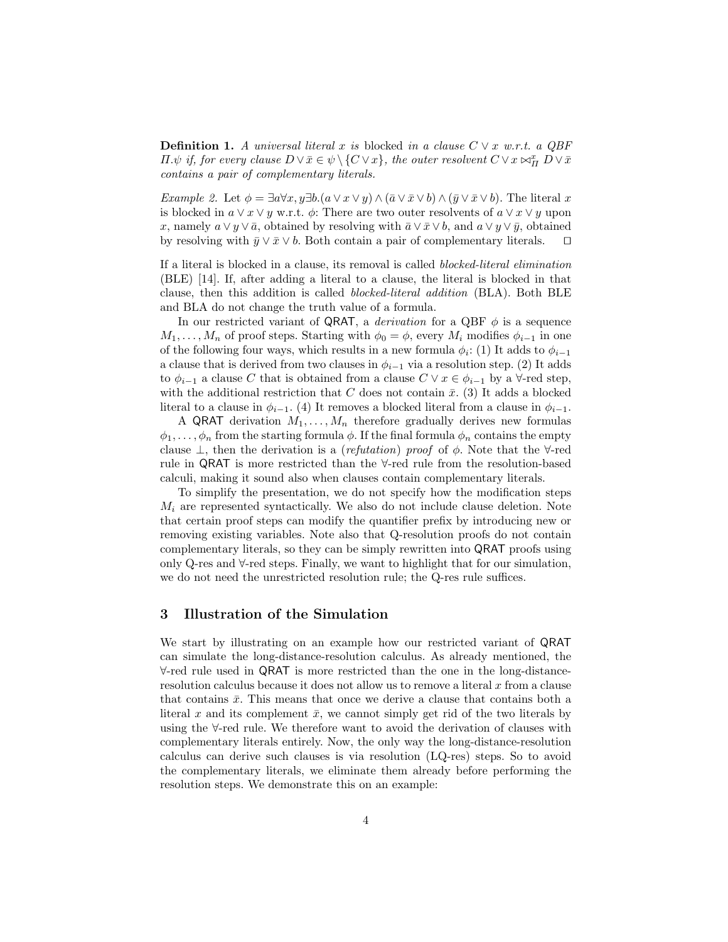**Definition 1.** A universal literal x is blocked in a clause  $C \vee x$  w.r.t. a QBF  $\Pi.\psi$  if, for every clause  $D \vee \bar{x} \in \psi \setminus \{C \vee x\}$ , the outer resolvent  $C \vee x \bowtie^x_{\Pi} D \vee \bar{x}$ contains a pair of complementary literals.

Example 2. Let  $\phi = \exists a \forall x, y \exists b. (a \vee x \vee y) \wedge (\overline{a} \vee \overline{x} \vee b) \wedge (\overline{y} \vee \overline{x} \vee b)$ . The literal x is blocked in  $a \vee x \vee y$  w.r.t.  $\phi$ : There are two outer resolvents of  $a \vee x \vee y$  upon x, namely  $a \lor y \lor \bar{a}$ , obtained by resolving with  $\bar{a} \lor \bar{x} \lor b$ , and  $a \lor y \lor \bar{y}$ , obtained by resolving with  $\bar{u} \lor \bar{x} \lor b$ . Both contain a pair of complementary literals.  $\Box$ by resolving with  $\bar{y} \vee \bar{x} \vee b$ . Both contain a pair of complementary literals.

If a literal is blocked in a clause, its removal is called blocked-literal elimination (BLE) [14]. If, after adding a literal to a clause, the literal is blocked in that clause, then this addition is called blocked-literal addition (BLA). Both BLE and BLA do not change the truth value of a formula.

In our restricted variant of QRAT, a *derivation* for a QBF  $\phi$  is a sequence  $M_1, \ldots, M_n$  of proof steps. Starting with  $\phi_0 = \phi$ , every  $M_i$  modifies  $\phi_{i-1}$  in one of the following four ways, which results in a new formula  $\phi_i$ : (1) It adds to  $\phi_{i-1}$ a clause that is derived from two clauses in  $\phi_{i-1}$  via a resolution step. (2) It adds to  $\phi_{i-1}$  a clause C that is obtained from a clause  $C \vee x \in \phi_{i-1}$  by a  $\forall$ -red step, with the additional restriction that C does not contain  $\bar{x}$ . (3) It adds a blocked literal to a clause in  $\phi_{i-1}$ . (4) It removes a blocked literal from a clause in  $\phi_{i-1}$ .

A QRAT derivation  $M_1, \ldots, M_n$  therefore gradually derives new formulas  $\phi_1, \ldots, \phi_n$  from the starting formula  $\phi$ . If the final formula  $\phi_n$  contains the empty clause  $\bot$ , then the derivation is a (*refutation*) proof of  $\phi$ . Note that the  $\forall$ -red rule in QRAT is more restricted than the ∀-red rule from the resolution-based calculi, making it sound also when clauses contain complementary literals.

To simplify the presentation, we do not specify how the modification steps  $M_i$  are represented syntactically. We also do not include clause deletion. Note that certain proof steps can modify the quantifier prefix by introducing new or removing existing variables. Note also that Q-resolution proofs do not contain complementary literals, so they can be simply rewritten into QRAT proofs using only Q-res and ∀-red steps. Finally, we want to highlight that for our simulation, we do not need the unrestricted resolution rule; the Q-res rule suffices.

## 3 Illustration of the Simulation

We start by illustrating on an example how our restricted variant of QRAT can simulate the long-distance-resolution calculus. As already mentioned, the ∀-red rule used in QRAT is more restricted than the one in the long-distanceresolution calculus because it does not allow us to remove a literal  $x$  from a clause that contains  $\bar{x}$ . This means that once we derive a clause that contains both a literal x and its complement  $\bar{x}$ , we cannot simply get rid of the two literals by using the ∀-red rule. We therefore want to avoid the derivation of clauses with complementary literals entirely. Now, the only way the long-distance-resolution calculus can derive such clauses is via resolution (LQ-res) steps. So to avoid the complementary literals, we eliminate them already before performing the resolution steps. We demonstrate this on an example: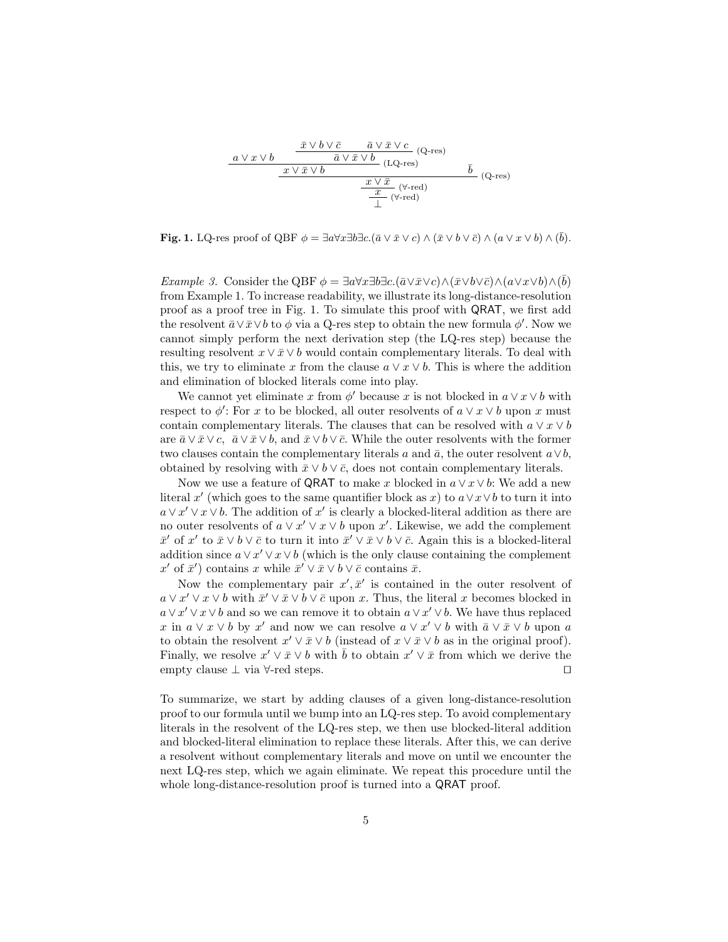$$
\begin{array}{r}\n\frac{\bar{x} \lor b \lor \bar{c} \qquad \bar{a} \lor \bar{x} \lor c}{\bar{a} \lor \bar{x} \lor b} \quad \text{(Q-res)} \\
\frac{x \lor \bar{x} \lor b}{\bar{a} \lor \bar{x} \lor b} \qquad \text{(LQ-res)} \\
\frac{x \lor \bar{x} \lor b}{\bar{a} \lor \bar{x} \quad (\forall \text{-red})} \qquad \text{(Q-res)} \\
\frac{x \lor \bar{x}}{\bot} \quad \text{(V-red)}\n\end{array}
$$

**Fig. 1.** LQ-res proof of QBF  $\phi = \exists a \forall x \exists b \exists c. (\bar{a} \lor \bar{x} \lor c) \land (\bar{x} \lor b \lor \bar{c}) \land (a \lor x \lor b) \land (\bar{b}).$ 

Example 3. Consider the QBF  $\phi = \exists a \forall x \exists b \exists c. (\bar{a} \vee \bar{x} \vee c) \wedge (\bar{x} \vee b \vee \bar{c}) \wedge (a \vee x \vee b) \wedge (\bar{b})$ from Example 1. To increase readability, we illustrate its long-distance-resolution proof as a proof tree in Fig. 1. To simulate this proof with QRAT, we first add the resolvent  $\bar{a} \vee \bar{x} \vee b$  to  $\phi$  via a Q-res step to obtain the new formula  $\phi'$ . Now we cannot simply perform the next derivation step (the LQ-res step) because the resulting resolvent  $x \vee \overline{x} \vee b$  would contain complementary literals. To deal with this, we try to eliminate x from the clause  $a \vee x \vee b$ . This is where the addition and elimination of blocked literals come into play.

We cannot yet eliminate x from  $\phi'$  because x is not blocked in  $a \vee x \vee b$  with respect to  $\phi'$ : For x to be blocked, all outer resolvents of  $a \vee x \vee b$  upon x must contain complementary literals. The clauses that can be resolved with  $a \vee x \vee b$ are  $\bar{a} \vee \bar{x} \vee c$ ,  $\bar{a} \vee \bar{x} \vee b$ , and  $\bar{x} \vee b \vee \bar{c}$ . While the outer resolvents with the former two clauses contain the complementary literals a and  $\bar{a}$ , the outer resolvent  $a \vee b$ , obtained by resolving with  $\bar{x} \vee b \vee \bar{c}$ , does not contain complementary literals.

Now we use a feature of QRAT to make x blocked in  $a \vee x \vee b$ : We add a new literal  $x'$  (which goes to the same quantifier block as  $x$ ) to  $a \vee x \vee b$  to turn it into  $a \vee x' \vee x \vee b$ . The addition of x' is clearly a blocked-literal addition as there are no outer resolvents of  $a \vee x' \vee x \vee b$  upon  $x'$ . Likewise, we add the complement  $\bar{x}'$  of  $x'$  to  $\bar{x} \vee b \vee \bar{c}$  to turn it into  $\bar{x}' \vee \bar{x} \vee b \vee \bar{c}$ . Again this is a blocked-literal addition since  $a \vee x' \vee x \vee b$  (which is the only clause containing the complement  $x'$  of  $\bar{x}'$ ) contains x while  $\bar{x}' \vee \bar{x} \vee b \vee \bar{c}$  contains  $\bar{x}$ .

Now the complementary pair  $x', \bar{x}'$  is contained in the outer resolvent of  $a \vee x' \vee x \vee b$  with  $\bar{x}' \vee \bar{x} \vee b \vee \bar{c}$  upon x. Thus, the literal x becomes blocked in  $a \vee x' \vee x \vee b$  and so we can remove it to obtain  $a \vee x' \vee b$ . We have thus replaced x in  $a \vee x \vee b$  by x' and now we can resolve  $a \vee x' \vee b$  with  $\overline{a} \vee \overline{x} \vee b$  upon a to obtain the resolvent  $x' \vee \overline{x} \vee b$  (instead of  $x \vee \overline{x} \vee b$  as in the original proof). Finally, we resolve  $x' \vee \overline{x} \vee b$  with  $\overline{b}$  to obtain  $x' \vee \overline{x}$  from which we derive the empty clause  $\perp$  via  $\forall$ -red steps.  $□$ 

To summarize, we start by adding clauses of a given long-distance-resolution proof to our formula until we bump into an LQ-res step. To avoid complementary literals in the resolvent of the LQ-res step, we then use blocked-literal addition and blocked-literal elimination to replace these literals. After this, we can derive a resolvent without complementary literals and move on until we encounter the next LQ-res step, which we again eliminate. We repeat this procedure until the whole long-distance-resolution proof is turned into a **QRAT** proof.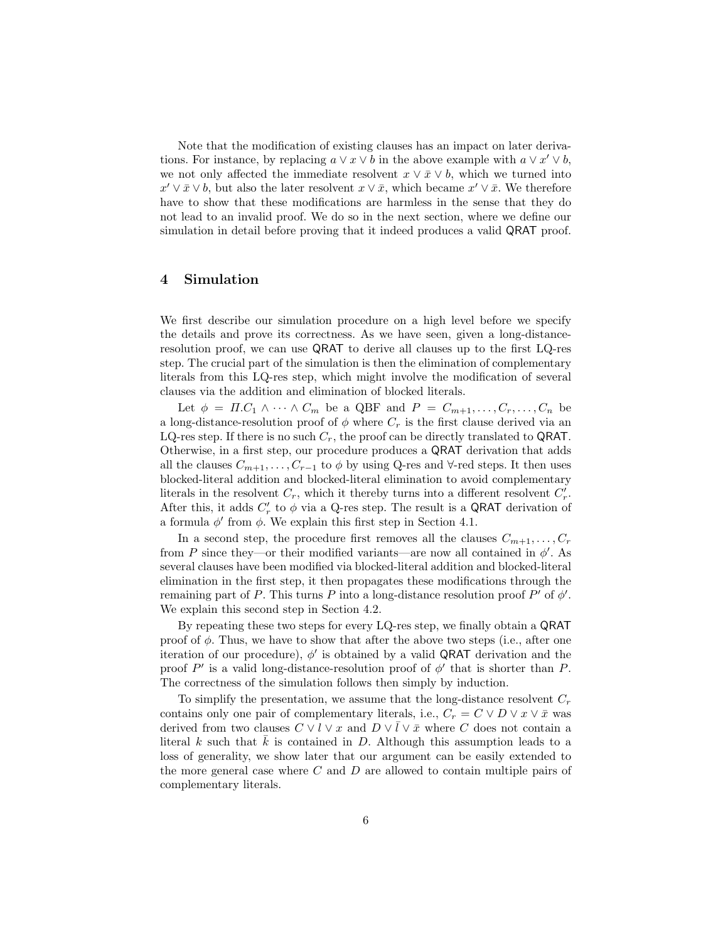Note that the modification of existing clauses has an impact on later derivations. For instance, by replacing  $a \lor x \lor b$  in the above example with  $a \lor x' \lor b$ , we not only affected the immediate resolvent  $x \vee \overline{x} \vee b$ , which we turned into  $x' \vee \bar{x} \vee b$ , but also the later resolvent  $x \vee \bar{x}$ , which became  $x' \vee \bar{x}$ . We therefore have to show that these modifications are harmless in the sense that they do not lead to an invalid proof. We do so in the next section, where we define our simulation in detail before proving that it indeed produces a valid QRAT proof.

## 4 Simulation

We first describe our simulation procedure on a high level before we specify the details and prove its correctness. As we have seen, given a long-distanceresolution proof, we can use QRAT to derive all clauses up to the first LQ-res step. The crucial part of the simulation is then the elimination of complementary literals from this LQ-res step, which might involve the modification of several clauses via the addition and elimination of blocked literals.

Let  $\phi = \Pi.C_1 \wedge \cdots \wedge C_m$  be a QBF and  $P = C_{m+1}, \ldots, C_r, \ldots, C_n$  be a long-distance-resolution proof of  $\phi$  where  $C_r$  is the first clause derived via an LQ-res step. If there is no such  $C_r$ , the proof can be directly translated to QRAT. Otherwise, in a first step, our procedure produces a QRAT derivation that adds all the clauses  $C_{m+1}, \ldots, C_{r-1}$  to  $\phi$  by using Q-res and  $\forall$ -red steps. It then uses blocked-literal addition and blocked-literal elimination to avoid complementary literals in the resolvent  $C_r$ , which it thereby turns into a different resolvent  $C'_r$ . After this, it adds  $C'_r$  to  $\phi$  via a Q-res step. The result is a QRAT derivation of a formula  $\phi'$  from  $\phi$ . We explain this first step in Section 4.1.

In a second step, the procedure first removes all the clauses  $C_{m+1}, \ldots, C_r$ from P since they—or their modified variants—are now all contained in  $\phi'$ . As several clauses have been modified via blocked-literal addition and blocked-literal elimination in the first step, it then propagates these modifications through the remaining part of P. This turns P into a long-distance resolution proof  $P'$  of  $\phi'$ . We explain this second step in Section 4.2.

By repeating these two steps for every LQ-res step, we finally obtain a QRAT proof of  $\phi$ . Thus, we have to show that after the above two steps (i.e., after one iteration of our procedure),  $\phi'$  is obtained by a valid QRAT derivation and the proof  $P'$  is a valid long-distance-resolution proof of  $\phi'$  that is shorter than P. The correctness of the simulation follows then simply by induction.

To simplify the presentation, we assume that the long-distance resolvent  $C_r$ contains only one pair of complementary literals, i.e.,  $C_r = C \vee D \vee x \vee \overline{x}$  was derived from two clauses  $C \vee l \vee x$  and  $D \vee \overline{l} \vee \overline{x}$  where C does not contain a literal k such that  $\overline{k}$  is contained in D. Although this assumption leads to a loss of generality, we show later that our argument can be easily extended to the more general case where  $C$  and  $D$  are allowed to contain multiple pairs of complementary literals.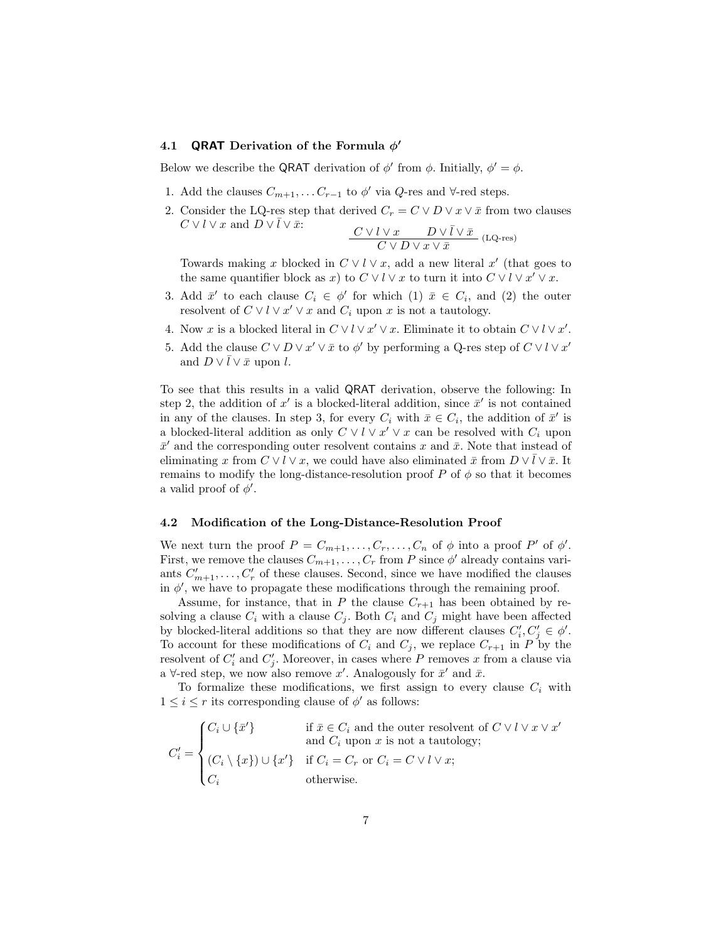#### 4.1 QRAT Derivation of the Formula  $\phi'$

Below we describe the QRAT derivation of  $\phi'$  from  $\phi$ . Initially,  $\phi' = \phi$ .

- 1. Add the clauses  $C_{m+1}, \ldots C_{r-1}$  to  $\phi'$  via  $Q$ -res and  $\forall$ -red steps.
- 2. Consider the LQ-res step that derived  $C_r = C \vee D \vee x \vee \overline{x}$  from two clauses  $C \vee l \vee x$  and  $D \vee \overline{l} \vee \overline{x}$ :  $C \vee I \vee r = D \vee \overline{I} \vee \overline{r}$

$$
\frac{C \vee l \vee x \qquad D \vee l \vee x}{C \vee D \vee x \vee \bar{x}} \text{ (LQ-res)}
$$

Towards making x blocked in  $C \vee l \vee x$ , add a new literal x' (that goes to the same quantifier block as x) to  $C \vee l \vee x$  to turn it into  $C \vee l \vee x' \vee x$ .

- 3. Add  $\bar{x}'$  to each clause  $C_i \in \phi'$  for which (1)  $\bar{x} \in C_i$ , and (2) the outer resolvent of  $C \vee l \vee x' \vee x$  and  $C_i$  upon x is not a tautology.
- 4. Now x is a blocked literal in  $C \vee l \vee x' \vee x$ . Eliminate it to obtain  $C \vee l \vee x'$ .
- 5. Add the clause  $C \vee D \vee x' \vee \overline{x}$  to  $\phi'$  by performing a Q-res step of  $C \vee l \vee x'$ and  $D \vee \overline{l} \vee \overline{x}$  upon  $l$ .

To see that this results in a valid QRAT derivation, observe the following: In step 2, the addition of  $x'$  is a blocked-literal addition, since  $\bar{x}'$  is not contained in any of the clauses. In step 3, for every  $C_i$  with  $\bar{x} \in C_i$ , the addition of  $\bar{x}'$  is a blocked-literal addition as only  $C \vee l \vee x' \vee x$  can be resolved with  $C_i$  upon  $\bar{x}'$  and the corresponding outer resolvent contains x and  $\bar{x}$ . Note that instead of eliminating x from  $C \vee l \vee x$ , we could have also eliminated  $\bar{x}$  from  $D \vee l \vee \bar{x}$ . It remains to modify the long-distance-resolution proof P of  $\phi$  so that it becomes a valid proof of  $\phi'$ .

#### 4.2 Modification of the Long-Distance-Resolution Proof

We next turn the proof  $P = C_{m+1}, \ldots, C_r, \ldots, C_n$  of  $\phi$  into a proof  $P'$  of  $\phi'$ . First, we remove the clauses  $C_{m+1}, \ldots, C_r$  from P since  $\phi'$  already contains variants  $C'_{m+1}, \ldots, C'_{r}$  of these clauses. Second, since we have modified the clauses in  $\phi'$ , we have to propagate these modifications through the remaining proof.

Assume, for instance, that in P the clause  $C_{r+1}$  has been obtained by resolving a clause  $C_i$  with a clause  $C_j$ . Both  $C_i$  and  $C_j$  might have been affected by blocked-literal additions so that they are now different clauses  $C_i, C_j \in \phi'$ . To account for these modifications of  $C_i$  and  $C_j$ , we replace  $C_{r+1}$  in P by the resolvent of  $C_i'$  and  $C_j'$ . Moreover, in cases where P removes x from a clause via a  $\forall$ -red step, we now also remove x'. Analogously for  $\bar{x}'$  and  $\bar{x}$ .

To formalize these modifications, we first assign to every clause  $C_i$  with  $1 \leq i \leq r$  its corresponding clause of  $\phi'$  as follows:

$$
C'_{i} = \begin{cases} C_{i} \cup \{\bar{x}'\} & \text{if } \bar{x} \in C_{i} \text{ and the outer resolvent of } C \vee l \vee x \vee x' \\ & \text{and } C_{i} \text{ upon } x \text{ is not a tautology;} \\ (C_{i} \setminus \{x\}) \cup \{x'\} & \text{if } C_{i} = C_{r} \text{ or } C_{i} = C \vee l \vee x; \\ C_{i} & \text{otherwise.} \end{cases}
$$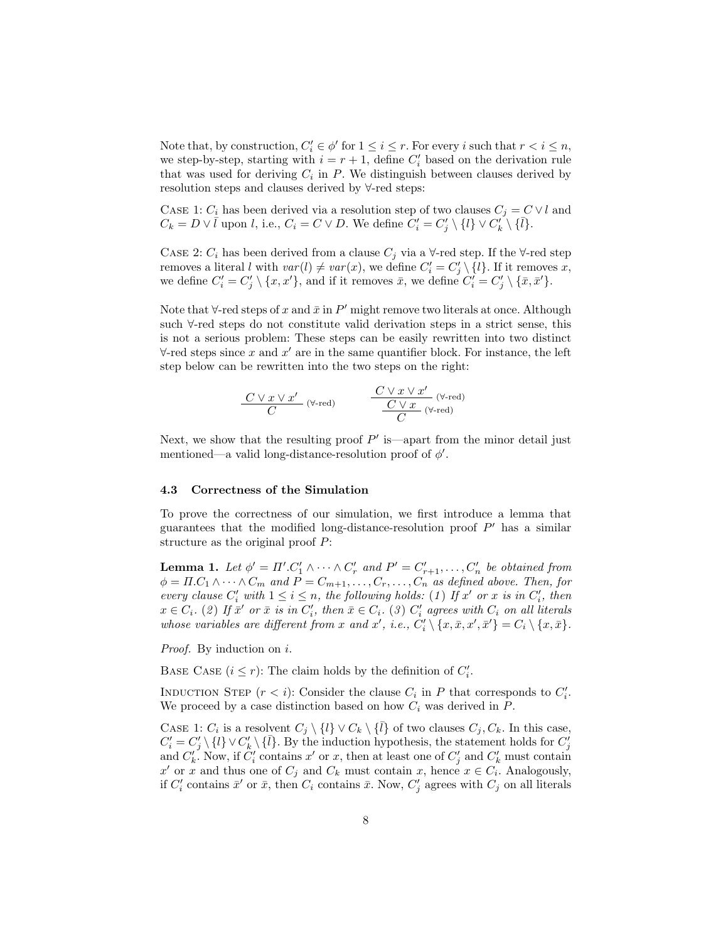Note that, by construction,  $C_i' \in \phi'$  for  $1 \leq i \leq r$ . For every i such that  $r < i \leq n$ , we step-by-step, starting with  $i = r + 1$ , define  $C_i'$  based on the derivation rule that was used for deriving  $C_i$  in P. We distinguish between clauses derived by resolution steps and clauses derived by ∀-red steps:

CASE 1:  $C_i$  has been derived via a resolution step of two clauses  $C_j = C \vee l$  and  $C_k = D \vee \overline{l}$  upon l, i.e.,  $C_i = C \vee D$ . We define  $C'_i = C'_j \setminus \{l\} \vee C'^{\prime}_k \setminus \{\overline{l}\}.$ 

CASE 2:  $C_i$  has been derived from a clause  $C_i$  via a  $\forall$ -red step. If the  $\forall$ -red step removes a literal l with  $var(l) \neq var(x)$ , we define  $C_i' = C_j' \setminus \{l\}$ . If it removes x, we define  $C_i' = C_j' \setminus \{x, x'\}$ , and if it removes  $\bar{x}$ , we define  $C_i' = C_j' \setminus \{\bar{x}, \bar{x}'\}$ .

Note that  $\forall$ -red steps of x and  $\bar{x}$  in  $P'$  might remove two literals at once. Although such ∀-red steps do not constitute valid derivation steps in a strict sense, this is not a serious problem: These steps can be easily rewritten into two distinct  $\forall$ -red steps since x and x' are in the same quantifier block. For instance, the left step below can be rewritten into the two steps on the right:

$$
\frac{C \vee x \vee x'}{C} \quad (\forall \text{-red})
$$
\n
$$
\frac{C \vee x \vee x'}{C \vee x} \quad (\forall \text{-red})
$$
\n
$$
\frac{C \vee x}{C} \quad (\forall \text{-red})
$$

Next, we show that the resulting proof  $P'$  is—apart from the minor detail just mentioned—a valid long-distance-resolution proof of  $\phi'$ .

#### 4.3 Correctness of the Simulation

To prove the correctness of our simulation, we first introduce a lemma that guarantees that the modified long-distance-resolution proof  $P'$  has a similar structure as the original proof P:

**Lemma 1.** Let  $\phi' = \Pi' \cdot C'_1 \wedge \cdots \wedge C'_r$  and  $P' = C'_{r+1}, \ldots, C'_n$  be obtained from  $\phi = \Pi.C_1 \wedge \cdots \wedge C_m$  and  $P = C_{m+1}, \ldots, C_r, \ldots, C_n$  as defined above. Then, for every clause  $C'_i$  with  $1 \leq i \leq n$ , the following holds: (1) If x' or x is in  $C'_i$ , then  $x \in C_i$ . (2) If  $\bar{x}'$  or  $\bar{x}$  is in  $C'_i$ , then  $\bar{x} \in C_i$ . (3)  $C'_i$  agrees with  $C_i$  on all literals whose variables are different from x and x', i.e.,  $C_i' \setminus \{x, \bar{x}, x', \bar{x}'\} = C_i \setminus \{x, \bar{x}\}.$ 

Proof. By induction on i.

BASE CASE  $(i \leq r)$ : The claim holds by the definition of  $C_i'$ .

INDUCTION STEP  $(r < i)$ : Consider the clause  $C_i$  in P that corresponds to  $C_i'$ . We proceed by a case distinction based on how  $C_i$  was derived in  $P$ .

CASE 1:  $C_i$  is a resolvent  $C_j \setminus \{l\} \vee C_k \setminus \{\overline{l}\}$  of two clauses  $C_j, C_k$ . In this case,  $C_i' = C_j' \setminus \{l\} \vee C_k' \setminus \{\overline{l}\}.$  By the induction hypothesis, the statement holds for  $C_j'$ and  $C'_{k}$ . Now, if  $C'_{i}$  contains  $x'$  or  $x$ , then at least one of  $C'_{j}$  and  $C'_{k}$  must contain x' or x and thus one of  $C_j$  and  $C_k$  must contain x, hence  $x \in C_i$ . Analogously, if  $C_i'$  contains  $\bar{x}'$  or  $\bar{x}$ , then  $C_i$  contains  $\bar{x}$ . Now,  $C_j'$  agrees with  $C_j$  on all literals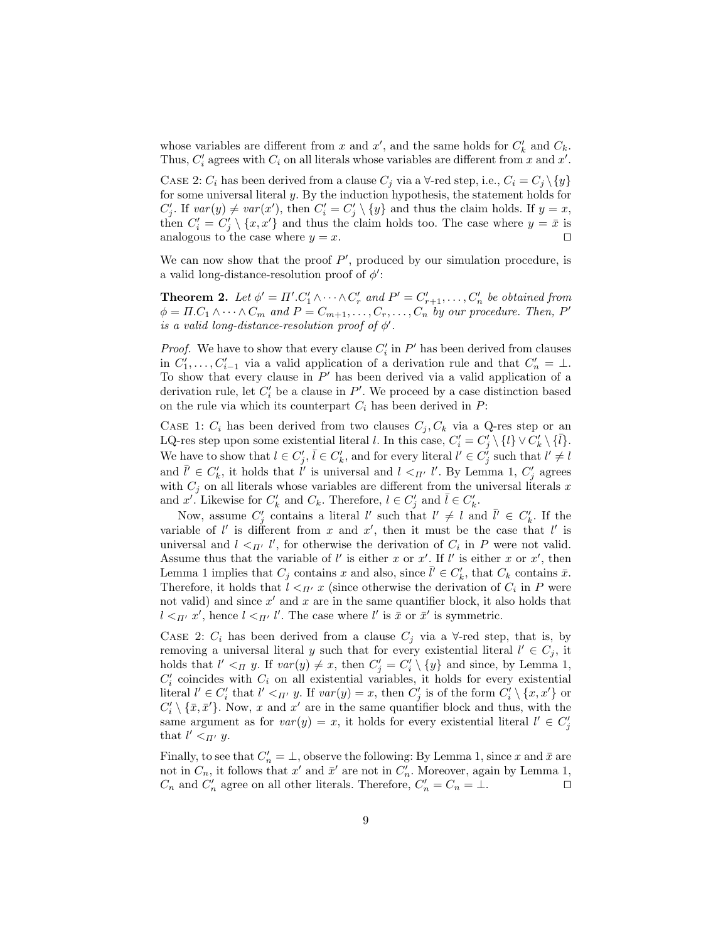whose variables are different from x and  $x'$ , and the same holds for  $C'_{k}$  and  $C_{k}$ . Thus,  $C_i'$  agrees with  $C_i$  on all literals whose variables are different from x and x'.

CASE 2:  $C_i$  has been derived from a clause  $C_j$  via a  $\forall$ -red step, i.e.,  $C_i = C_j \setminus \{y\}$ for some universal literal  $y$ . By the induction hypothesis, the statement holds for  $C'_j$ . If  $var(y) \neq var(x')$ , then  $C'_i = C'_j \setminus \{y\}$  and thus the claim holds. If  $y = x$ , then  $C_i' = C_j' \setminus \{x, x'\}$  and thus the claim holds too. The case where  $y = \bar{x}$  is analogous to the case where  $y = x$ .

We can now show that the proof  $P'$ , produced by our simulation procedure, is a valid long-distance-resolution proof of  $\phi'$ :

**Theorem 2.** Let  $\phi' = \Pi' . C'_1 \wedge \cdots \wedge C'_r$  and  $P' = C'_{r+1}, \ldots, C'_n$  be obtained from  $\phi = \Pi.C_1 \wedge \cdots \wedge C_m$  and  $P = C_{m+1}, \ldots, C_r, \ldots, C_n$  by our procedure. Then, P' is a valid long-distance-resolution proof of  $\phi'$ .

*Proof.* We have to show that every clause  $C_i'$  in  $P'$  has been derived from clauses in  $C'_1, \ldots, C'_{i-1}$  via a valid application of a derivation rule and that  $C'_n = \bot$ . To show that every clause in  $P'$  has been derived via a valid application of a derivation rule, let  $C_i'$  be a clause in  $P'$ . We proceed by a case distinction based on the rule via which its counterpart  $C_i$  has been derived in  $P$ :

CASE 1:  $C_i$  has been derived from two clauses  $C_j, C_k$  via a Q-res step or an LQ-res step upon some existential literal l. In this case,  $C_i' = C_j' \setminus \{l\} \vee C_k' \setminus \{\overline{l}\}.$ We have to show that  $l \in C'_j$ ,  $\bar{l} \in C'_k$ , and for every literal  $l' \in C'_j$  such that  $l' \neq l$ and  $\bar{l}' \in C'_{k}$ , it holds that  $l'$  is universal and  $l <_{\Pi'} l'$ . By Lemma 1,  $C'_{j}$  agrees with  $C_j$  on all literals whose variables are different from the universal literals x and  $x'$ . Likewise for  $C'_{k}$  and  $C_{k}$ . Therefore,  $l \in C'_{j}$  and  $\overline{l} \in C'_{k}$ .

Now, assume  $C'_j$  contains a literal l' such that  $l' \neq l$  and  $\bar{l}' \in C'_k$ . If the variable of  $l'$  is different from x and x', then it must be the case that  $l'$  is universal and  $l <_{\Pi'} l'$ , for otherwise the derivation of  $C_i$  in P were not valid. Assume thus that the variable of  $l'$  is either x or x'. If  $l'$  is either x or x', then Lemma 1 implies that  $C_j$  contains x and also, since  $\bar{l}' \in C'_k$ , that  $C_k$  contains  $\bar{x}$ . Therefore, it holds that  $l <_{\Pi'} x$  (since otherwise the derivation of  $C_i$  in P were not valid) and since  $x'$  and  $x$  are in the same quantifier block, it also holds that  $l <_{\Pi'} x'$ , hence  $l <_{\Pi'} l'$ . The case where l' is  $\bar{x}$  or  $\bar{x}'$  is symmetric.

CASE 2:  $C_i$  has been derived from a clause  $C_j$  via a  $\forall$ -red step, that is, by removing a universal literal y such that for every existential literal  $l' \in C_j$ , it holds that  $l' <_{\Pi} y$ . If  $var(y) \neq x$ , then  $C'_j = C'_i \setminus \{y\}$  and since, by Lemma 1,  $C_i'$  coincides with  $C_i$  on all existential variables, it holds for every existential literal  $l' \in C'_i$  that  $l' <_{\Pi'} y$ . If  $var(y) = x$ , then  $C'_j$  is of the form  $C'_i \setminus \{x, x'\}$  or  $C_i' \setminus {\bar x, \bar x'}$ . Now, x and x' are in the same quantifier block and thus, with the same argument as for  $var(y) = x$ , it holds for every existential literal  $l' \in C'_j$ that  $l' <_{\Pi'} y$ .

Finally, to see that  $C'_n = \perp$ , observe the following: By Lemma 1, since x and  $\bar{x}$  are not in  $C_n$ , it follows that  $x'$  and  $\bar{x}'$  are not in  $C'_n$ . Moreover, again by Lemma 1,  $C_n$  and  $C'_n$  agree on all other literals. Therefore,  $C'_n = C_n = \perp$ .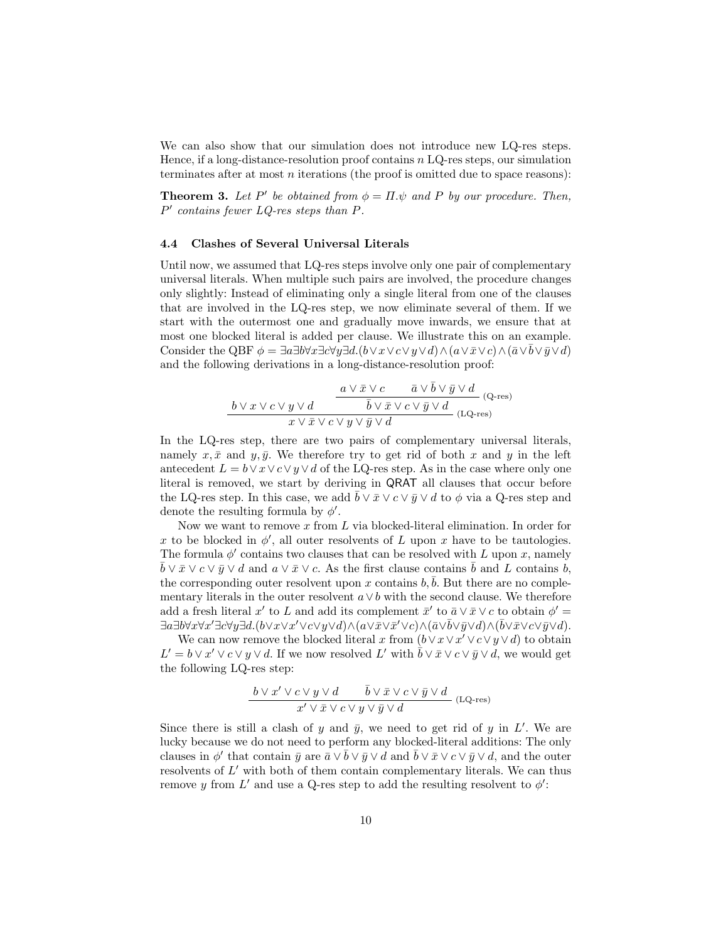We can also show that our simulation does not introduce new LQ-res steps. Hence, if a long-distance-resolution proof contains  $n$  LQ-res steps, our simulation terminates after at most  $n$  iterations (the proof is omitted due to space reasons):

**Theorem 3.** Let P' be obtained from  $\phi = \Pi.\psi$  and P by our procedure. Then,  $P'$  contains fewer LQ-res steps than  $P$ .

#### 4.4 Clashes of Several Universal Literals

Until now, we assumed that LQ-res steps involve only one pair of complementary universal literals. When multiple such pairs are involved, the procedure changes only slightly: Instead of eliminating only a single literal from one of the clauses that are involved in the LQ-res step, we now eliminate several of them. If we start with the outermost one and gradually move inwards, we ensure that at most one blocked literal is added per clause. We illustrate this on an example. Consider the QBF  $\phi = \exists a \exists b \forall x \exists c \forall y \exists d. (b \lor x \lor c \lor y \lor d) \land (a \lor \bar{x} \lor c) \land (\bar{a} \lor \bar{b} \lor \bar{y} \lor d)$ and the following derivations in a long-distance-resolution proof:

$$
\frac{a \vee \bar{x} \vee c \qquad \bar{a} \vee \bar{b} \vee \bar{y} \vee d}{b \vee x \vee c \vee y \vee d} \qquad \frac{a \vee \bar{x} \vee c \qquad \bar{a} \vee \bar{b} \vee \bar{y} \vee d}{\bar{b} \vee \bar{x} \vee c \vee \bar{y} \vee \bar{d}} \qquad \qquad \text{(Q-res)} \\ x \vee \bar{x} \vee c \vee y \vee \bar{y} \vee d \qquad \qquad \text{(LQ-res)}
$$

In the LQ-res step, there are two pairs of complementary universal literals, namely  $x, \bar{x}$  and  $y, \bar{y}$ . We therefore try to get rid of both x and y in the left antecedent  $L = b \vee x \vee c \vee y \vee d$  of the LQ-res step. As in the case where only one literal is removed, we start by deriving in QRAT all clauses that occur before the LQ-res step. In this case, we add  $\bar{b} \vee \bar{x} \vee c \vee \bar{y} \vee d$  to  $\phi$  via a Q-res step and denote the resulting formula by  $\phi'$ .

Now we want to remove x from  $L$  via blocked-literal elimination. In order for x to be blocked in  $\phi'$ , all outer resolvents of L upon x have to be tautologies. The formula  $\phi'$  contains two clauses that can be resolved with L upon x, namely  $\bar{b} \vee \bar{x} \vee c \vee \bar{y} \vee d$  and  $a \vee \bar{x} \vee c$ . As the first clause contains  $\bar{b}$  and L contains b, the corresponding outer resolvent upon x contains  $b, \bar{b}$ . But there are no complementary literals in the outer resolvent  $a \vee b$  with the second clause. We therefore add a fresh literal  $x'$  to L and add its complement  $\bar{x}'$  to  $\bar{a} \vee \bar{x} \vee c$  to obtain  $\phi' =$ ∃a∃b∀x∀x'∃c∀y∃d. $(b \lor x \lor x' \lor c \lor y \lor d) \land (a \lor \bar{x} \lor \bar{x}' \lor c) \land (\bar{a} \lor \bar{b} \lor \bar{y} \lor d) \land (\bar{b} \lor \bar{x} \lor c \lor \bar{y} \lor d)$ .

We can now remove the blocked literal x from  $(b \vee x \vee x' \vee c \vee y \vee d)$  to obtain  $L' = b \vee x' \vee c \vee y \vee d$ . If we now resolved  $L'$  with  $\bar{b} \vee \bar{x} \vee c \vee \bar{y} \vee d$ , we would get the following LQ-res step:

$$
\frac{b \vee x' \vee c \vee y \vee d \qquad \bar{b} \vee \bar{x} \vee c \vee \bar{y} \vee d}{x' \vee \bar{x} \vee c \vee y \vee \bar{y} \vee d} \text{ (LQ-res)}
$$

Since there is still a clash of y and  $\bar{y}$ , we need to get rid of y in L'. We are lucky because we do not need to perform any blocked-literal additions: The only clauses in  $\phi'$  that contain  $\bar{y}$  are  $\bar{a} \vee \bar{b} \vee \bar{y} \vee d$  and  $\bar{b} \vee \bar{x} \vee c \vee \bar{y} \vee d$ , and the outer resolvents of  $L'$  with both of them contain complementary literals. We can thus remove y from L' and use a Q-res step to add the resulting resolvent to  $\phi'$ :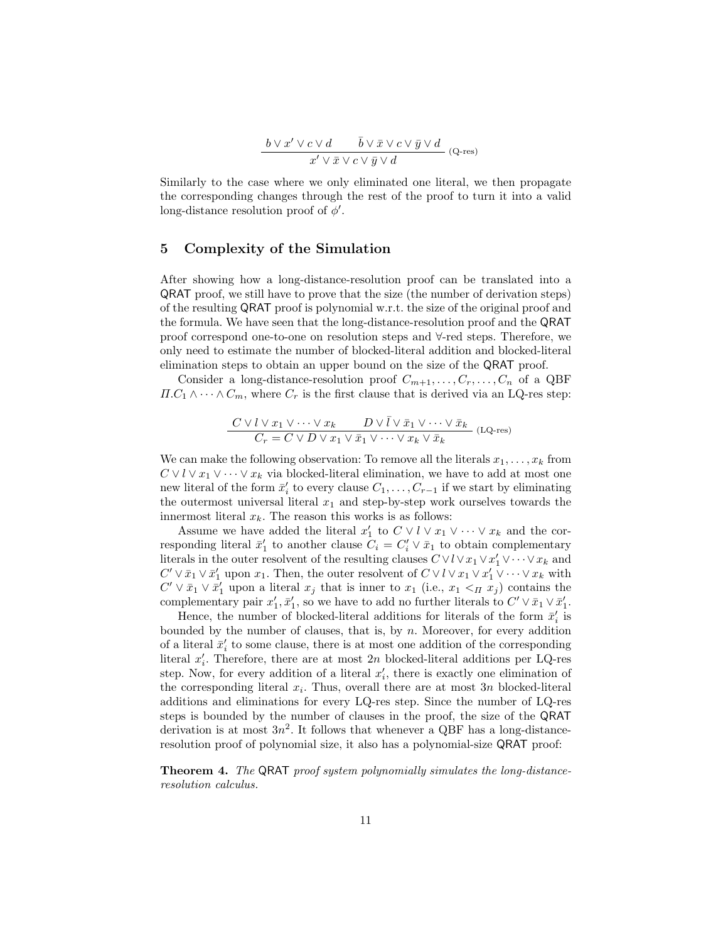$$
\frac{b \vee x' \vee c \vee d \qquad \bar{b} \vee \bar{x} \vee c \vee \bar{y} \vee d}{x' \vee \bar{x} \vee c \vee \bar{y} \vee d} \text{ (Q-res)}
$$

Similarly to the case where we only eliminated one literal, we then propagate the corresponding changes through the rest of the proof to turn it into a valid long-distance resolution proof of  $\phi'$ .

## 5 Complexity of the Simulation

After showing how a long-distance-resolution proof can be translated into a QRAT proof, we still have to prove that the size (the number of derivation steps) of the resulting QRAT proof is polynomial w.r.t. the size of the original proof and the formula. We have seen that the long-distance-resolution proof and the QRAT proof correspond one-to-one on resolution steps and ∀-red steps. Therefore, we only need to estimate the number of blocked-literal addition and blocked-literal elimination steps to obtain an upper bound on the size of the QRAT proof.

Consider a long-distance-resolution proof  $C_{m+1}, \ldots, C_r, \ldots, C_n$  of a QBF  $\Pi.C_1 \wedge \cdots \wedge C_m$ , where  $C_r$  is the first clause that is derived via an LQ-res step:

$$
\frac{C \vee l \vee x_1 \vee \dots \vee x_k \qquad D \vee \bar{l} \vee \bar{x}_1 \vee \dots \vee \bar{x}_k}{C_r = C \vee D \vee x_1 \vee \bar{x}_1 \vee \dots \vee x_k \vee \bar{x}_k}
$$
 (LQ-res)

We can make the following observation: To remove all the literals  $x_1, \ldots, x_k$  from  $C \vee l \vee x_1 \vee \cdots \vee x_k$  via blocked-literal elimination, we have to add at most one new literal of the form  $\bar{x}'_i$  to every clause  $C_1, \ldots, C_{r-1}$  if we start by eliminating the outermost universal literal  $x_1$  and step-by-step work ourselves towards the innermost literal  $x_k$ . The reason this works is as follows:

Assume we have added the literal  $x'_1$  to  $C \vee l \vee x_1 \vee \cdots \vee x_k$  and the corresponding literal  $\bar{x}'_1$  to another clause  $C_i = C'_i \vee \bar{x}_1$  to obtain complementary literals in the outer resolvent of the resulting clauses  $C \vee l \vee x_1 \vee x_1' \vee \cdots \vee x_k$  and  $C' \vee \bar{x}_1 \vee \bar{x}'_1$  upon  $x_1$ . Then, the outer resolvent of  $C \vee l \vee x_1 \vee x'_1 \vee \cdots \vee x_k$  with  $C' \vee \overline{x}_1 \vee \overline{x}'_1$  upon a literal  $x_j$  that is inner to  $x_1$  (i.e.,  $x_1 \leq \overline{H}$   $x_j$ ) contains the complementary pair  $x'_1, \bar{x}'_1$ , so we have to add no further literals to  $C' \vee \bar{x}_1 \vee \bar{x}'_1$ .

Hence, the number of blocked-literal additions for literals of the form  $\bar{x}'_i$  is bounded by the number of clauses, that is, by  $n$ . Moreover, for every addition of a literal  $\bar{x}'_i$  to some clause, there is at most one addition of the corresponding literal  $x_i'$ . Therefore, there are at most  $2n$  blocked-literal additions per LQ-res step. Now, for every addition of a literal  $x_i'$ , there is exactly one elimination of the corresponding literal  $x_i$ . Thus, overall there are at most  $3n$  blocked-literal additions and eliminations for every LQ-res step. Since the number of LQ-res steps is bounded by the number of clauses in the proof, the size of the QRAT derivation is at most  $3n^2$ . It follows that whenever a QBF has a long-distanceresolution proof of polynomial size, it also has a polynomial-size QRAT proof:

Theorem 4. The QRAT proof system polynomially simulates the long-distanceresolution calculus.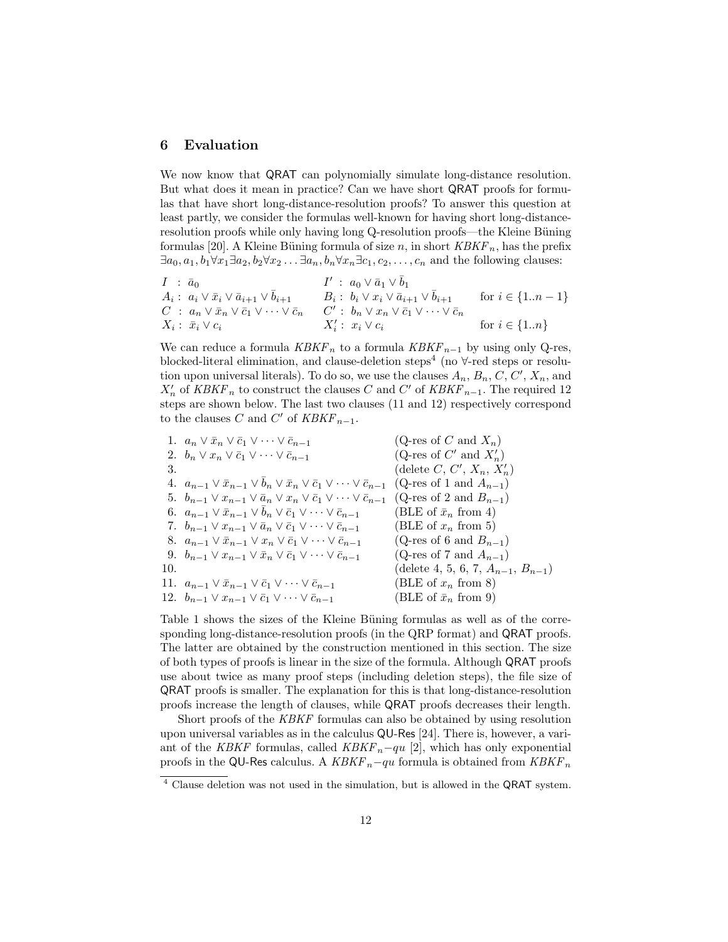## 6 Evaluation

We now know that QRAT can polynomially simulate long-distance resolution. But what does it mean in practice? Can we have short QRAT proofs for formulas that have short long-distance-resolution proofs? To answer this question at least partly, we consider the formulas well-known for having short long-distanceresolution proofs while only having long Q-resolution proofs—the Kleine Büning formulas [20]. A Kleine Büning formula of size n, in short  $KBKF_n$ , has the prefix  $\exists a_0, a_1, b_1 \forall x_1 \exists a_2, b_2 \forall x_2 \ldots \exists a_n, b_n \forall x_n \exists c_1, c_2, \ldots, c_n$  and the following clauses:

 $I$  :  $\bar{a}_0$   $I'$  :  $a_0 \vee \bar{a}_1 \vee \bar{b}_1$  $I'$  :  $a_0 \vee \bar{a}_1 \vee \bar{b}_1$  $A_i: a_i \vee \bar{x}_i \vee \bar{a}_{i+1} \vee \bar{b}_{i+1}$   $B_i: b_i \vee x_i \vee \bar{a}_{i+1} \vee \bar{b}_{i+1}$  for  $i \in \{1..n-1\}$  $C \; : \; a_n \vee \bar{x}_n \vee \bar{c}_1 \vee \cdots \vee \bar{c}_n \quad \quad C' \; : \; b_n \vee x_n \vee \bar{c}_1 \vee \cdots \vee \bar{c}_n$  $X_i: \ \bar{x}_i \vee c_i$  for  $i \in \{1..n\}$ 

We can reduce a formula  $KBKF_n$  to a formula  $KBKF_{n-1}$  by using only Q-res, blocked-literal elimination, and clause-deletion steps<sup>4</sup> (no  $\forall$ -red steps or resolution upon universal literals). To do so, we use the clauses  $A_n$ ,  $B_n$ ,  $C$ ,  $C'$ ,  $X_n$ , and  $X'_n$  of  $KBKF_n$  to construct the clauses C and C' of  $KBKF_{n-1}$ . The required 12 steps are shown below. The last two clauses (11 and 12) respectively correspond to the clauses C and  $C'$  of  $KBKF_{n-1}$ .

|     | 1. $a_n \vee \bar{x}_n \vee \bar{c}_1 \vee \cdots \vee \bar{c}_{n-1}$                                                                                 | (Q-res of C and $X_n$ )                     |
|-----|-------------------------------------------------------------------------------------------------------------------------------------------------------|---------------------------------------------|
|     | 2. $b_n \vee x_n \vee \overline{c}_1 \vee \cdots \vee \overline{c}_{n-1}$                                                                             | (Q-res of C' and $X'_n$ )                   |
| 3.  |                                                                                                                                                       | (delete C, C', $X_n$ , $X'_n$ )             |
|     | 4. $a_{n-1} \vee \overline{x}_{n-1} \vee b_n \vee \overline{x}_n \vee \overline{c}_1 \vee \cdots \vee \overline{c}_{n-1}$ (Q-res of 1 and $A_{n-1}$ ) |                                             |
|     | 5. $b_{n-1} \vee x_{n-1} \vee \overline{a}_n \vee x_n \vee \overline{c}_1 \vee \cdots \vee \overline{c}_{n-1}$ (Q-res of 2 and $B_{n-1}$ )            |                                             |
|     | 6. $a_{n-1} \vee \overline{x}_{n-1} \vee b_n \vee \overline{c}_1 \vee \cdots \vee \overline{c}_{n-1}$                                                 | (BLE of $\bar{x}_n$ from 4)                 |
|     | 7. $b_{n-1} \vee x_{n-1} \vee \overline{a}_n \vee \overline{c}_1 \vee \cdots \vee \overline{c}_{n-1}$                                                 | (BLE of $x_n$ from 5)                       |
|     | 8. $a_{n-1} \vee \bar{x}_{n-1} \vee x_n \vee \bar{c}_1 \vee \cdots \vee \bar{c}_{n-1}$                                                                | (Q-res of 6 and $B_{n-1}$ )                 |
|     | 9. $b_{n-1} \vee x_{n-1} \vee \bar{x}_n \vee \bar{c}_1 \vee \cdots \vee \bar{c}_{n-1}$                                                                | (Q-res of 7 and $A_{n-1}$ )                 |
| 10. |                                                                                                                                                       | (delete 4, 5, 6, 7, $A_{n-1}$ , $B_{n-1}$ ) |
|     | 11. $a_{n-1} \vee \bar{x}_{n-1} \vee \bar{c}_1 \vee \cdots \vee \bar{c}_{n-1}$                                                                        | (BLE of $x_n$ from 8)                       |
|     | 12. $b_{n-1} \vee x_{n-1} \vee \bar{c}_1 \vee \cdots \vee \bar{c}_{n-1}$                                                                              | (BLE of $\bar{x}_n$ from 9)                 |
|     |                                                                                                                                                       |                                             |

Table 1 shows the sizes of the Kleine Büning formulas as well as of the corresponding long-distance-resolution proofs (in the QRP format) and QRAT proofs. The latter are obtained by the construction mentioned in this section. The size of both types of proofs is linear in the size of the formula. Although QRAT proofs use about twice as many proof steps (including deletion steps), the file size of QRAT proofs is smaller. The explanation for this is that long-distance-resolution proofs increase the length of clauses, while QRAT proofs decreases their length.

Short proofs of the KBKF formulas can also be obtained by using resolution upon universal variables as in the calculus QU-Res [24]. There is, however, a variant of the KBKF formulas, called KBKF  $_n$ -qu [2], which has only exponential proofs in the QU-Res calculus. A  $KBKF_n-qu$  formula is obtained from  $KBKF_n$ 

<sup>4</sup> Clause deletion was not used in the simulation, but is allowed in the QRAT system.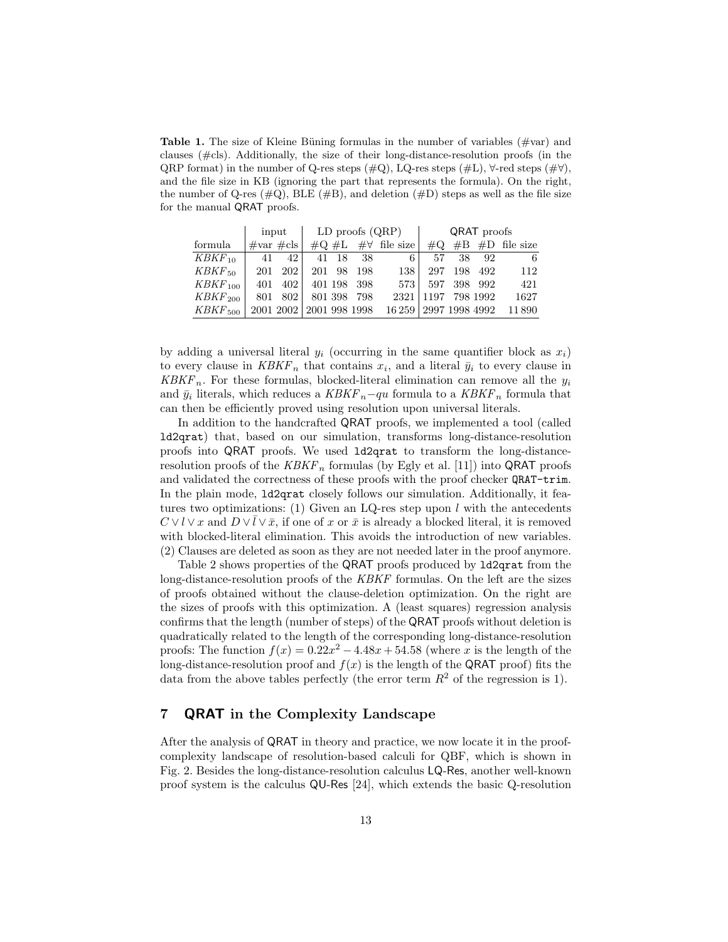Table 1. The size of Kleine Büning formulas in the number of variables  $(\text{#var})$  and clauses  $(\text{\#cls})$ . Additionally, the size of their long-distance-resolution proofs (in the QRP format) in the number of Q-res steps  $(\#Q)$ , LQ-res steps  $(\#L)$ ,  $\forall$ -red steps  $(\# \forall)$ , and the file size in KB (ignoring the part that represents the formula). On the right, the number of Q-res  $(\#Q)$ , BLE  $(\#B)$ , and deletion  $(\#D)$  steps as well as the file size for the manual QRAT proofs.

|                       |     | input                     | $LD$ proofs $(QRP)$ |             |                           |        | <b>QRAT</b> proofs |          |                   |  |
|-----------------------|-----|---------------------------|---------------------|-------------|---------------------------|--------|--------------------|----------|-------------------|--|
| formula               |     | $\#var$ $\#cls$           |                     |             | $\#Q \#L$ $\#V$ file size | $\#$ Q |                    |          | $#B$ #D file size |  |
| $KBKF_{10}$           | 41  | 42                        | 41 18               | 38          | 6 I                       | 57     | 38                 | -92      | 6                 |  |
| $KBKF_{50}$           | 201 | 202                       |                     | 201 98 198  | 138                       | 297    |                    | 198 492  | 112               |  |
| $KBKF_{100}$          | 401 | 402                       |                     | 401 198 398 | 573                       | 597    |                    | 398 992  | 421               |  |
| $KBKF_{200}$          | 801 | 802                       |                     | 801 398 798 | 2321                      | 1197   |                    | 798 1992 | 1627              |  |
| $KBKF$ <sub>500</sub> |     | 2001 2002   2001 998 1998 |                     |             | 16 259   2997 1998 4992   |        |                    |          | 11890             |  |

by adding a universal literal  $y_i$  (occurring in the same quantifier block as  $x_i$ ) to every clause in  $KBKF_n$  that contains  $x_i$ , and a literal  $\bar{y}_i$  to every clause in  $KBKF_n$ . For these formulas, blocked-literal elimination can remove all the  $y_i$ and  $\bar{y}_i$  literals, which reduces a  $KBKF_n-qu$  formula to a  $KBKF_n$  formula that can then be efficiently proved using resolution upon universal literals.

In addition to the handcrafted QRAT proofs, we implemented a tool (called ld2qrat) that, based on our simulation, transforms long-distance-resolution proofs into QRAT proofs. We used ld2qrat to transform the long-distanceresolution proofs of the  $KBKF_n$  formulas (by Egly et al. [11]) into QRAT proofs and validated the correctness of these proofs with the proof checker QRAT-trim. In the plain mode, ld2qrat closely follows our simulation. Additionally, it features two optimizations: (1) Given an LQ-res step upon  $l$  with the antecedents  $C \vee l \vee x$  and  $D \vee \overline{l} \vee \overline{x}$ , if one of x or  $\overline{x}$  is already a blocked literal, it is removed with blocked-literal elimination. This avoids the introduction of new variables. (2) Clauses are deleted as soon as they are not needed later in the proof anymore.

Table 2 shows properties of the QRAT proofs produced by 1d2qrat from the long-distance-resolution proofs of the KBKF formulas. On the left are the sizes of proofs obtained without the clause-deletion optimization. On the right are the sizes of proofs with this optimization. A (least squares) regression analysis confirms that the length (number of steps) of the QRAT proofs without deletion is quadratically related to the length of the corresponding long-distance-resolution proofs: The function  $f(x) = 0.22x^2 - 4.48x + 54.58$  (where x is the length of the long-distance-resolution proof and  $f(x)$  is the length of the QRAT proof) fits the data from the above tables perfectly (the error term  $R^2$  of the regression is 1).

## 7 QRAT in the Complexity Landscape

After the analysis of QRAT in theory and practice, we now locate it in the proofcomplexity landscape of resolution-based calculi for QBF, which is shown in Fig. 2. Besides the long-distance-resolution calculus LQ-Res, another well-known proof system is the calculus QU-Res [24], which extends the basic Q-resolution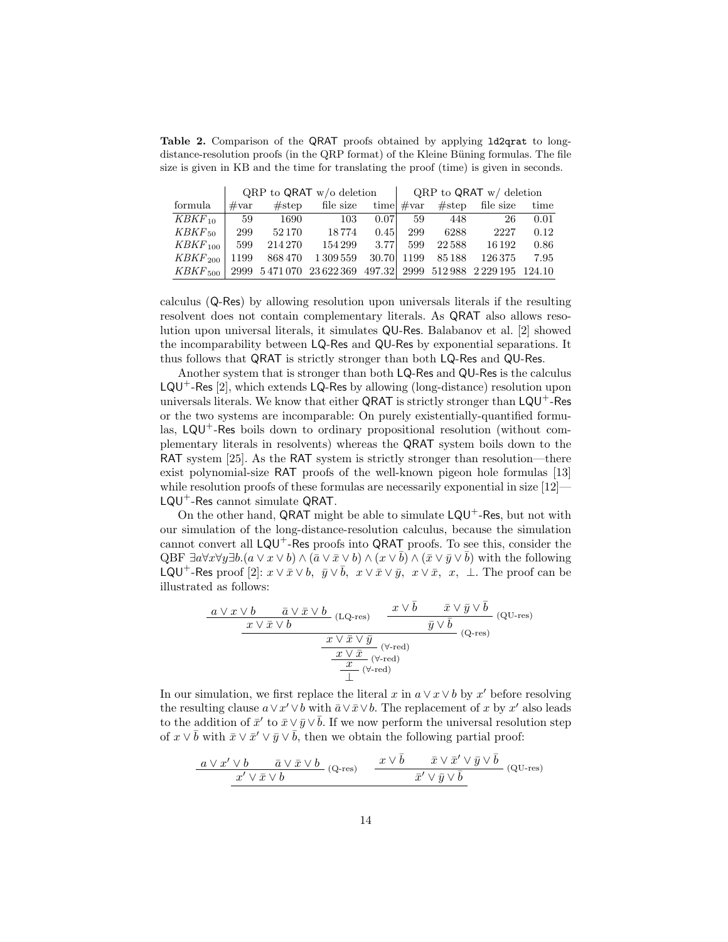Table 2. Comparison of the QRAT proofs obtained by applying 1d2qrat to longdistance-resolution proofs (in the QRP format) of the Kleine Büning formulas. The file size is given in KB and the time for translating the proof (time) is given in seconds.

|                       | QRP to QRAT $w/o$ deletion |         |                                |       |              | $QRP$ to $QRAT$ w/ deletion |                            |      |  |
|-----------------------|----------------------------|---------|--------------------------------|-------|--------------|-----------------------------|----------------------------|------|--|
| formula               | $\#\text{var}$             | #step   | file size                      |       | time $\#var$ | #step                       | file size                  | time |  |
| $KBKF_{10}$           | 59                         | 1690    | 103                            | 0.07  | 59           | 448                         | 26                         | 0.01 |  |
| $KBKF_{50}$           | 299                        | 52 1 70 | 18774                          | 0.45  | 299          | 6288                        | 2227                       | 0.12 |  |
| $KBKF_{100}$          | 599                        | 214 270 | 154 299                        | 3.77  | 599          | 22588                       | 16 19 2                    | 0.86 |  |
| $KBKF_{200}$          | 1199                       | 868470  | 1 309 559                      | 30.70 | 1199         | 85188                       | 126375                     | 7.95 |  |
| $KBKF$ <sub>500</sub> |                            |         | 2999 5471 070 23622 369 497.32 |       |              |                             | 2999 512988 2229195 124.10 |      |  |

calculus (Q-Res) by allowing resolution upon universals literals if the resulting resolvent does not contain complementary literals. As QRAT also allows resolution upon universal literals, it simulates QU-Res. Balabanov et al. [2] showed the incomparability between LQ-Res and QU-Res by exponential separations. It thus follows that QRAT is strictly stronger than both LQ-Res and QU-Res.

Another system that is stronger than both LQ-Res and QU-Res is the calculus  $LQU^+$ -Res [2], which extends  $LQ$ -Res by allowing (long-distance) resolution upon universals literals. We know that either QRAT is strictly stronger than  $LQU^+$ -Res or the two systems are incomparable: On purely existentially-quantified formulas,  $LQU^+$ -Res boils down to ordinary propositional resolution (without complementary literals in resolvents) whereas the QRAT system boils down to the RAT system [25]. As the RAT system is strictly stronger than resolution—there exist polynomial-size RAT proofs of the well-known pigeon hole formulas [13] while resolution proofs of these formulas are necessarily exponential in size  $[12]$ LQU<sup>+</sup>-Res cannot simulate QRAT.

On the other hand, QRAT might be able to simulate  $LQU^+$ -Res, but not with our simulation of the long-distance-resolution calculus, because the simulation cannot convert all  $LQU^+$ -Res proofs into QRAT proofs. To see this, consider the QBF  $\exists a \forall x \forall y \exists b. (a \lor x \lor b) \land (\bar{a} \lor \bar{x} \lor b) \land (x \lor \bar{b}) \land (\bar{x} \lor \bar{y} \lor \bar{b})$  with the following LQU<sup>+</sup>-Res proof [2]:  $x \vee \bar{x} \vee b$ ,  $\bar{y} \vee \bar{b}$ ,  $x \vee \bar{x} \vee \bar{y}$ ,  $x \vee \bar{x}$ ,  $x$ ,  $\bot$ . The proof can be illustrated as follows:

$$
\begin{array}{c|c}\n a \lor x \lor b & \bar{a} \lor \bar{x} \lor b \\
 \hline\n x \lor \bar{x} \lor b & \text{(LQ-res)} \\
 \hline\n & x \lor \bar{x} \lor \bar{y} \\
 \hline\n & x \lor \bar{x} \lor \bar{y} \\
 \hline\n & x \lor \bar{x} \lor \bar{y} \\
 \hline\n & x \lor \bar{x} \lor \bar{y} \\
 \hline\n & x \lor \bar{x} \lor \bar{y} \\
 \hline\n & x \lor \bar{x} \lor \bar{y} \\
 \hline\n & x \lor \bar{x} \lor \bar{y} \\
 \hline\n & x \lor \bar{x} \lor \bar{y} \\
 \hline\n & x \lor \bar{x} \lor \bar{y} \\
 \hline\n & x \lor \bar{x} \lor \bar{y} \\
 \hline\n & x \lor \bar{x} \lor \bar{y} \\
 \hline\n & x \lor \bar{x} \lor \bar{y} \\
 \hline\n & x \lor \bar{x} \lor \bar{y} \\
 \hline\n & x \lor \bar{x} \lor \bar{y} \\
 \hline\n & x \lor \bar{x} \lor \bar{y} \\
 \hline\n & x \lor \bar{x} \lor \bar{y} \\
 \hline\n & x \lor \bar{x} \lor \bar{y} \\
 \hline\n & x \lor \bar{x} \lor \bar{y} \\
 \hline\n & x \lor \bar{x} \lor \bar{y} \\
 \hline\n & x \lor \bar{x} \lor \bar{y} \\
 \hline\n & x \lor \bar{x} \lor \bar{y} \\
 \hline\n & x \lor \bar{x} \lor \bar{y} \\
 \hline\n & x \lor \bar{x} \lor \bar{y} \\
 \hline\n & x \lor \bar{x} \lor \bar{y} \\
 \hline\n & x \lor \bar{x} \lor \bar{y} \\
 \hline\n & x \lor \bar{x} \lor \bar{y} \\
 \hline\n & x \lor \bar{x} \lor \bar{y} \\
 \hline\n & x \lor \bar{x} \lor \bar{y} \\
 \hline\n & x \lor \bar{x} \lor \bar{y} \\
 \hline\n & x \lor \bar{x} \lor \bar{y} \\
 \hline\n & x \lor \bar{x} \lor \bar{y} \\
 \hline\n & x \lor \bar{x} \lor \bar
$$

In our simulation, we first replace the literal x in  $a \vee x \vee b$  by x' before resolving the resulting clause  $a \vee x' \vee b$  with  $\bar{a} \vee \bar{x} \vee b$ . The replacement of x by x' also leads to the addition of  $\bar{x}'$  to  $\bar{x} \vee \bar{y} \vee \bar{b}$ . If we now perform the universal resolution step of  $x \vee \bar{b}$  with  $\bar{x} \vee \bar{x'} \vee \bar{y} \vee \bar{b}$ , then we obtain the following partial proof:

$$
\begin{array}{cc} \underline{a\vee x'\vee b} & \bar{a}\vee \bar{x}\vee b \\ \underline{x'\vee \bar{x}\vee b} & \phantom{a\vee \bar{x}\vee b} & \phantom{a\vee \bar{x}\vee \bar{b}} & \phantom{a\vee \bar{x}\vee \bar{b}} & \phantom{a\vee \bar{x}\vee \bar{b}} & \phantom{a\vee \bar{x}\vee \bar{b}} & \phantom{a\vee \bar{x}\vee \bar{x}\vee \bar{b}} & \phantom{a\vee \bar{x}\vee \bar{x}\vee \bar{b}} & \phantom{a\vee \bar{x}\vee \bar{x}\vee \bar{b}} & \phantom{a\vee \bar{x}\vee \bar{x}\vee \bar{b}} & \phantom{a\vee \bar{x}\vee \bar{x}\vee \bar{b}} & \phantom{a\vee \bar{x}\vee \bar{x}\vee \bar{b}} & \phantom{a\vee \bar{x}\vee \bar{x}\vee \bar{x}\vee \bar{b}} & \phantom{a\vee \bar{x}\vee \bar{x}\vee \bar{x}\vee \bar{x}\vee \bar{b}} & \phantom{a\vee \bar{x}\vee \bar{x}\vee \bar{x}\vee \bar{b}} & \phantom{a\vee \bar{x}\vee \bar{x}\vee \bar{x}\vee \bar{x}\vee \bar{b}} & \phantom{a\vee \bar{x}\vee \bar{x}\vee \bar{x}\vee \bar{x}\vee \bar{x}\vee \bar{x}\vee \bar{x}\vee \bar{x}\vee \bar{x}\vee \bar{x}\vee \bar{x}\vee \bar{x}\vee \bar{x}\vee \bar{x}\vee \bar{x}\vee \bar{x}\vee \bar{x}\vee \bar{x}\vee \bar{x}\vee \bar{x}\vee \bar{x}\vee \bar{x}\vee \bar{x}\vee \bar{x}\vee \bar{x}\vee \bar{x}\vee \bar{x}\vee \bar{x}\vee \bar{x}\vee \bar{x}\vee \bar{x}\vee \bar{x}\vee \bar{x}\vee \bar{x}\vee \bar{x}\vee \bar{x}\vee \bar{x}\vee \bar{x}\vee \bar{x}\vee \bar{x}\vee \bar{x}\vee \bar{x}\vee \bar{x}\vee \bar{x}\vee \bar{x}\vee \bar{x}\vee \bar{x}\vee \bar{x}\vee \bar{x}\vee \bar{x}\vee \bar{x}\vee \bar
$$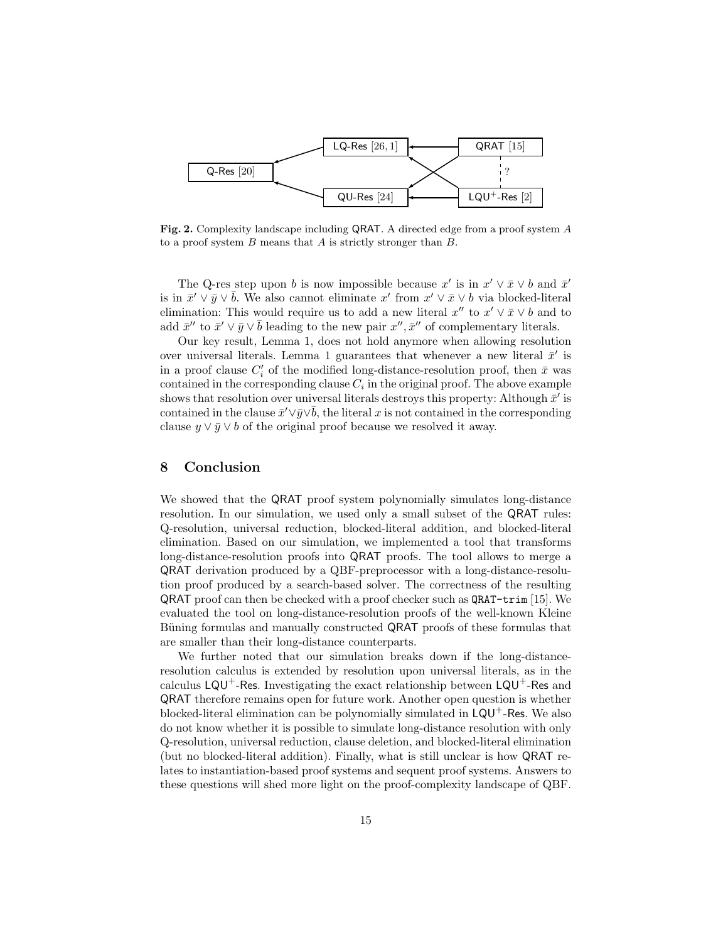

Fig. 2. Complexity landscape including QRAT. A directed edge from a proof system A to a proof system  $B$  means that  $A$  is strictly stronger than  $B$ .

The Q-res step upon b is now impossible because x' is in  $x' \vee \bar{x} \vee b$  and  $\bar{x}'$ is in  $\bar{x}' \vee \bar{y} \vee \bar{b}$ . We also cannot eliminate  $x'$  from  $x' \vee \bar{x} \vee b$  via blocked-literal elimination: This would require us to add a new literal  $x''$  to  $x' \vee \bar{x} \vee b$  and to add  $\bar{x}''$  to  $\bar{x}' \vee \bar{y} \vee \bar{b}$  leading to the new pair  $x'', \bar{x}''$  of complementary literals.

Our key result, Lemma 1, does not hold anymore when allowing resolution over universal literals. Lemma 1 guarantees that whenever a new literal  $\bar{x}'$  is in a proof clause  $C_i'$  of the modified long-distance-resolution proof, then  $\bar{x}$  was contained in the corresponding clause  $C_i$  in the original proof. The above example shows that resolution over universal literals destroys this property: Although  $\bar{x}'$  is contained in the clause  $\bar{x}' \vee \bar{y} \vee \bar{b}$ , the literal x is not contained in the corresponding clause  $y \vee \bar{y} \vee b$  of the original proof because we resolved it away.

## 8 Conclusion

We showed that the **QRAT** proof system polynomially simulates long-distance resolution. In our simulation, we used only a small subset of the QRAT rules: Q-resolution, universal reduction, blocked-literal addition, and blocked-literal elimination. Based on our simulation, we implemented a tool that transforms long-distance-resolution proofs into QRAT proofs. The tool allows to merge a QRAT derivation produced by a QBF-preprocessor with a long-distance-resolution proof produced by a search-based solver. The correctness of the resulting QRAT proof can then be checked with a proof checker such as QRAT-trim [15]. We evaluated the tool on long-distance-resolution proofs of the well-known Kleine Büning formulas and manually constructed QRAT proofs of these formulas that are smaller than their long-distance counterparts.

We further noted that our simulation breaks down if the long-distanceresolution calculus is extended by resolution upon universal literals, as in the calculus  $LQU^+$ -Res. Investigating the exact relationship between  $LQU^+$ -Res and QRAT therefore remains open for future work. Another open question is whether blocked-literal elimination can be polynomially simulated in  $LQU^+$ -Res. We also do not know whether it is possible to simulate long-distance resolution with only Q-resolution, universal reduction, clause deletion, and blocked-literal elimination (but no blocked-literal addition). Finally, what is still unclear is how QRAT relates to instantiation-based proof systems and sequent proof systems. Answers to these questions will shed more light on the proof-complexity landscape of QBF.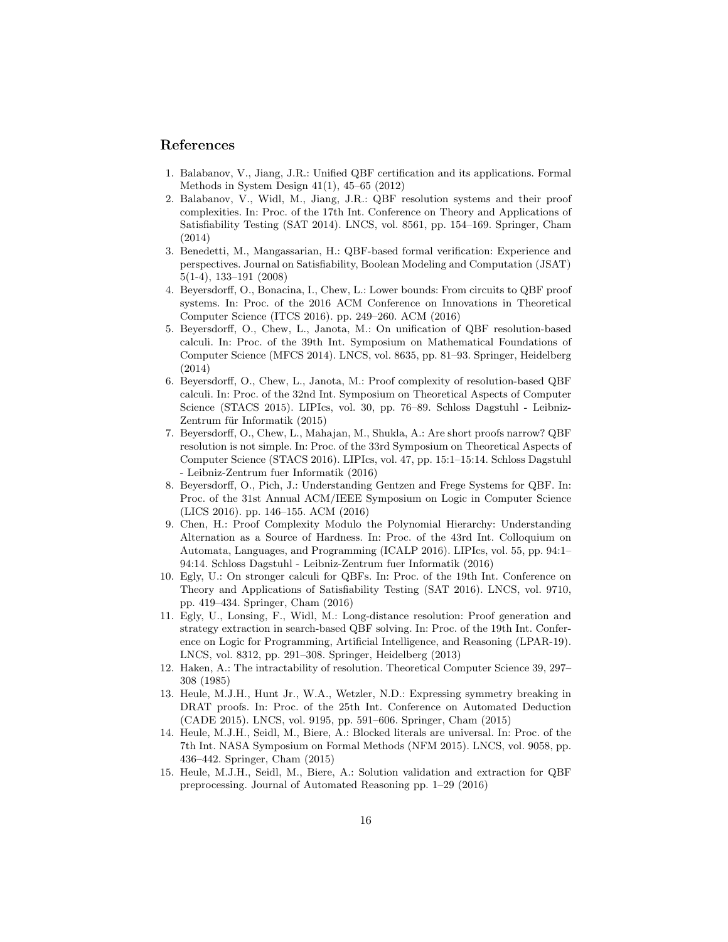## References

- 1. Balabanov, V., Jiang, J.R.: Unified QBF certification and its applications. Formal Methods in System Design 41(1), 45–65 (2012)
- 2. Balabanov, V., Widl, M., Jiang, J.R.: QBF resolution systems and their proof complexities. In: Proc. of the 17th Int. Conference on Theory and Applications of Satisfiability Testing (SAT 2014). LNCS, vol. 8561, pp. 154–169. Springer, Cham (2014)
- 3. Benedetti, M., Mangassarian, H.: QBF-based formal verification: Experience and perspectives. Journal on Satisfiability, Boolean Modeling and Computation (JSAT) 5(1-4), 133–191 (2008)
- 4. Beyersdorff, O., Bonacina, I., Chew, L.: Lower bounds: From circuits to QBF proof systems. In: Proc. of the 2016 ACM Conference on Innovations in Theoretical Computer Science (ITCS 2016). pp. 249–260. ACM (2016)
- 5. Beyersdorff, O., Chew, L., Janota, M.: On unification of QBF resolution-based calculi. In: Proc. of the 39th Int. Symposium on Mathematical Foundations of Computer Science (MFCS 2014). LNCS, vol. 8635, pp. 81–93. Springer, Heidelberg (2014)
- 6. Beyersdorff, O., Chew, L., Janota, M.: Proof complexity of resolution-based QBF calculi. In: Proc. of the 32nd Int. Symposium on Theoretical Aspects of Computer Science (STACS 2015). LIPIcs, vol. 30, pp. 76–89. Schloss Dagstuhl - Leibniz-Zentrum für Informatik (2015)
- 7. Beyersdorff, O., Chew, L., Mahajan, M., Shukla, A.: Are short proofs narrow? QBF resolution is not simple. In: Proc. of the 33rd Symposium on Theoretical Aspects of Computer Science (STACS 2016). LIPIcs, vol. 47, pp. 15:1–15:14. Schloss Dagstuhl - Leibniz-Zentrum fuer Informatik (2016)
- 8. Beyersdorff, O., Pich, J.: Understanding Gentzen and Frege Systems for QBF. In: Proc. of the 31st Annual ACM/IEEE Symposium on Logic in Computer Science (LICS 2016). pp. 146–155. ACM (2016)
- 9. Chen, H.: Proof Complexity Modulo the Polynomial Hierarchy: Understanding Alternation as a Source of Hardness. In: Proc. of the 43rd Int. Colloquium on Automata, Languages, and Programming (ICALP 2016). LIPIcs, vol. 55, pp. 94:1– 94:14. Schloss Dagstuhl - Leibniz-Zentrum fuer Informatik (2016)
- 10. Egly, U.: On stronger calculi for QBFs. In: Proc. of the 19th Int. Conference on Theory and Applications of Satisfiability Testing (SAT 2016). LNCS, vol. 9710, pp. 419–434. Springer, Cham (2016)
- 11. Egly, U., Lonsing, F., Widl, M.: Long-distance resolution: Proof generation and strategy extraction in search-based QBF solving. In: Proc. of the 19th Int. Conference on Logic for Programming, Artificial Intelligence, and Reasoning (LPAR-19). LNCS, vol. 8312, pp. 291–308. Springer, Heidelberg (2013)
- 12. Haken, A.: The intractability of resolution. Theoretical Computer Science 39, 297– 308 (1985)
- 13. Heule, M.J.H., Hunt Jr., W.A., Wetzler, N.D.: Expressing symmetry breaking in DRAT proofs. In: Proc. of the 25th Int. Conference on Automated Deduction (CADE 2015). LNCS, vol. 9195, pp. 591–606. Springer, Cham (2015)
- 14. Heule, M.J.H., Seidl, M., Biere, A.: Blocked literals are universal. In: Proc. of the 7th Int. NASA Symposium on Formal Methods (NFM 2015). LNCS, vol. 9058, pp. 436–442. Springer, Cham (2015)
- 15. Heule, M.J.H., Seidl, M., Biere, A.: Solution validation and extraction for QBF preprocessing. Journal of Automated Reasoning pp. 1–29 (2016)